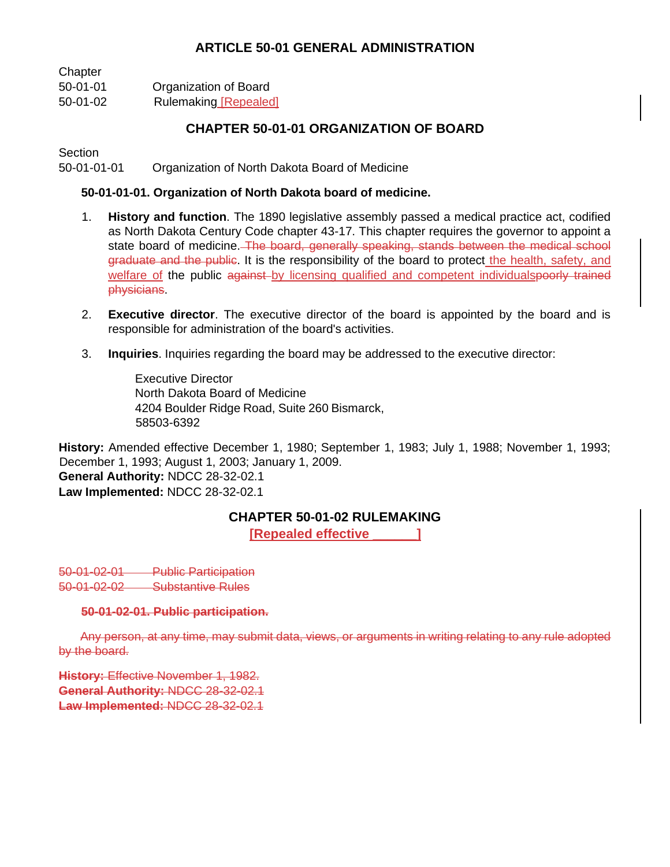# **ARTICLE 50-01 GENERAL ADMINISTRATION**

| Chapter  |                              |
|----------|------------------------------|
| 50-01-01 | Organization of Board        |
| 50-01-02 | <b>Rulemaking [Repealed]</b> |

# **CHAPTER 50-01-01 ORGANIZATION OF BOARD**

**Section** 

50-01-01-01 Organization of North Dakota Board of Medicine

### **50-01-01-01. Organization of North Dakota board of medicine.**

- 1. **History and function**. The 1890 legislative assembly passed a medical practice act, codified as North Dakota Century Code chapter 43-17. This chapter requires the governor to appoint a state board of medicine. The board, generally speaking, stands between the medical school graduate and the public. It is the responsibility of the board to protect the health, safety, and welfare of the public against by licensing qualified and competent individualspoorly trained physicians.
- 2. **Executive director**. The executive director of the board is appointed by the board and is responsible for administration of the board's activities.
- 3. **Inquiries**. Inquiries regarding the board may be addressed to the executive director:

Executive Director North Dakota Board of Medicine 4204 Boulder Ridge Road, Suite 260 Bismarck, 58503-6392

**History:** Amended effective December 1, 1980; September 1, 1983; July 1, 1988; November 1, 1993; December 1, 1993; August 1, 2003; January 1, 2009. **General Authority:** NDCC 28-32-02.1 **Law Implemented:** NDCC 28-32-02.1

## **CHAPTER 50-01-02 RULEMAKING**

**[Repealed effective \_\_\_\_\_\_]**

50-01-02-01 Public Participation 50-01-02-02 Substantive Rules

#### **50-01-02-01. Public participation.**

Any person, at any time, may submit data, views, or arguments in writing relating to any rule adopted by the board.

**History: Effective November 1, 1982. General Authority:** NDCC 28-32-02.1 **Law Implemented:** NDCC 28-32-02.1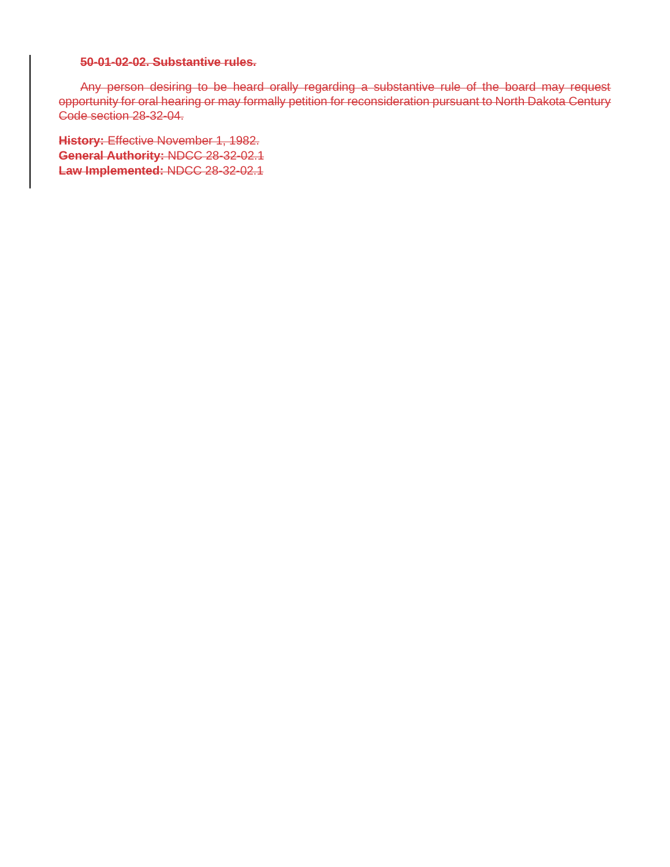#### **50-01-02-02. Substantive rules.**

Any person desiring to be heard orally regarding a substantive rule of the board may request opportunity for oral hearing or may formally petition for reconsideration pursuant to North Dakota Century Code section 28-32-04.

**History:** Effective November 1, 1982. **General Authority:** NDCC 28-32-02.1 **Law Implemented:** NDCC 28-32-02.1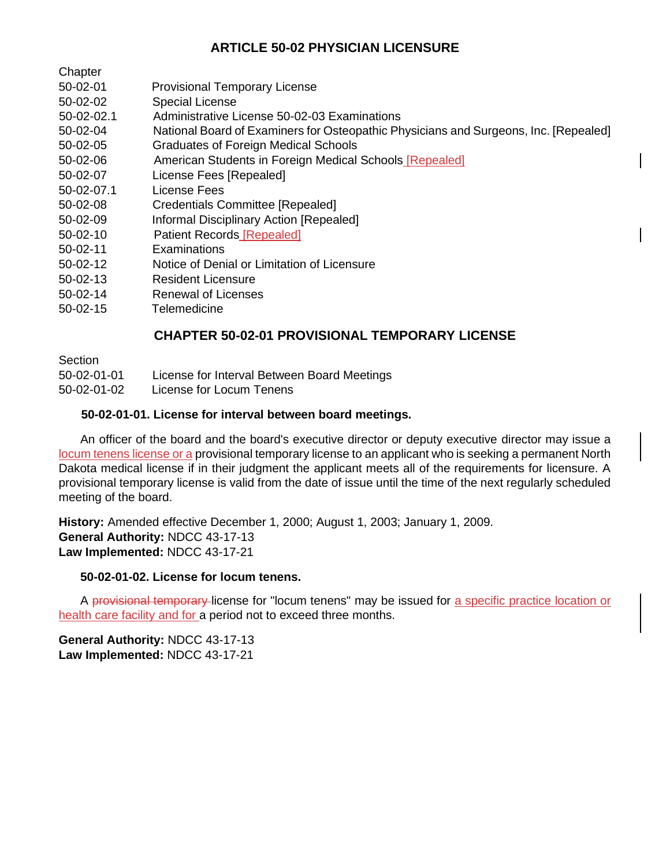# **ARTICLE 50-02 PHYSICIAN LICENSURE**

| Chapter |
|---------|
|---------|

- 50-02-01 Provisional Temporary License
- 50-02-02 Special License
- 50-02-02.1 Administrative License 50-02-03 Examinations
- 50-02-04 National Board of Examiners for Osteopathic Physicians and Surgeons, Inc. [Repealed]
- 50-02-05 Graduates of Foreign Medical Schools
- 50-02-06 American Students in Foreign Medical Schools [Repealed]
- 50-02-07 License Fees [Repealed]
- 50-02-07.1 License Fees
- 50-02-08 Credentials Committee [Repealed]
- 50-02-09 Informal Disciplinary Action [Repealed]
- 50-02-10 Patient Records [Repealed]
- 50-02-11 Examinations
- 50-02-12 Notice of Denial or Limitation of Licensure
- 50-02-13 Resident Licensure
- 50-02-14 Renewal of Licenses
- 50-02-15 Telemedicine

# **CHAPTER 50-02-01 PROVISIONAL TEMPORARY LICENSE**

**Section** 

- 50-02-01-01 License for Interval Between Board Meetings
- 50-02-01-02 License for Locum Tenens

## **50-02-01-01. License for interval between board meetings.**

An officer of the board and the board's executive director or deputy executive director may issue a locum tenens license or a provisional temporary license to an applicant who is seeking a permanent North Dakota medical license if in their judgment the applicant meets all of the requirements for licensure. A provisional temporary license is valid from the date of issue until the time of the next regularly scheduled meeting of the board.

**History:** Amended effective December 1, 2000; August 1, 2003; January 1, 2009. **General Authority:** NDCC 43-17-13 **Law Implemented:** NDCC 43-17-21

## **50-02-01-02. License for locum tenens.**

A provisional temporary license for "locum tenens" may be issued for a specific practice location or health care facility and for a period not to exceed three months.

**General Authority:** NDCC 43-17-13 **Law Implemented:** NDCC 43-17-21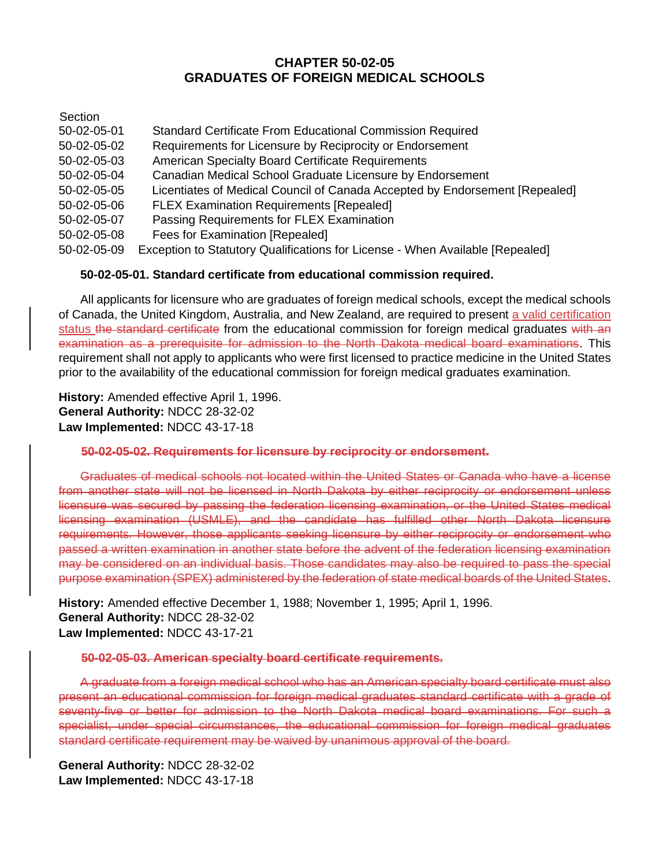## **CHAPTER 50-02-05 GRADUATES OF FOREIGN MEDICAL SCHOOLS**

**Section** 

| 50-02-05-01 | Standard Certificate From Educational Commission Required                     |
|-------------|-------------------------------------------------------------------------------|
| 50-02-05-02 | Requirements for Licensure by Reciprocity or Endorsement                      |
| 50-02-05-03 | <b>American Specialty Board Certificate Requirements</b>                      |
| 50-02-05-04 | Canadian Medical School Graduate Licensure by Endorsement                     |
| 50-02-05-05 | Licentiates of Medical Council of Canada Accepted by Endorsement [Repealed]   |
| 50-02-05-06 | <b>FLEX Examination Requirements [Repealed]</b>                               |
| 50-02-05-07 | Passing Requirements for FLEX Examination                                     |
| 50-02-05-08 | Fees for Examination [Repealed]                                               |
| 50-02-05-09 | Exception to Statutory Qualifications for License - When Available [Repealed] |
|             |                                                                               |

## **50-02-05-01. Standard certificate from educational commission required.**

All applicants for licensure who are graduates of foreign medical schools, except the medical schools of Canada, the United Kingdom, Australia, and New Zealand, are required to present a valid certification status the standard certificate from the educational commission for foreign medical graduates with an examination as a prerequisite for admission to the North Dakota medical board examinations. This requirement shall not apply to applicants who were first licensed to practice medicine in the United States prior to the availability of the educational commission for foreign medical graduates examination.

**History:** Amended effective April 1, 1996. **General Authority:** NDCC 28-32-02 **Law Implemented:** NDCC 43-17-18

## **50-02-05-02. Requirements for licensure by reciprocity or endorsement.**

Graduates of medical schools not located within the United States or Canada who have a license from another state will not be licensed in North Dakota by either reciprocity or endorsement unless licensure was secured by passing the federation licensing examination, or the United States medical licensing examination (USMLE), and the candidate has fulfilled other North Dakota licensure requirements. However, those applicants seeking licensure by either reciprocity or endorsement who passed a written examination in another state before the advent of the federation licensing examination may be considered on an individual basis. Those candidates may also be required to pass the special purpose examination (SPEX) administered by the federation of state medical boards of the United States.

**History:** Amended effective December 1, 1988; November 1, 1995; April 1, 1996. **General Authority:** NDCC 28-32-02 **Law Implemented:** NDCC 43-17-21

#### **50-02-05-03. American specialty board certificate requirements.**

A graduate from a foreign medical school who has an American specialty board certificate must also present an educational commission for foreign medical graduates standard certificate with a grade of seventy-five or better for admission to the North Dakota medical board examinations. For such a specialist, under special circumstances, the educational commission for foreign medical graduates standard certificate requirement may be waived by unanimous approval of the board.

**General Authority:** NDCC 28-32-02 **Law Implemented:** NDCC 43-17-18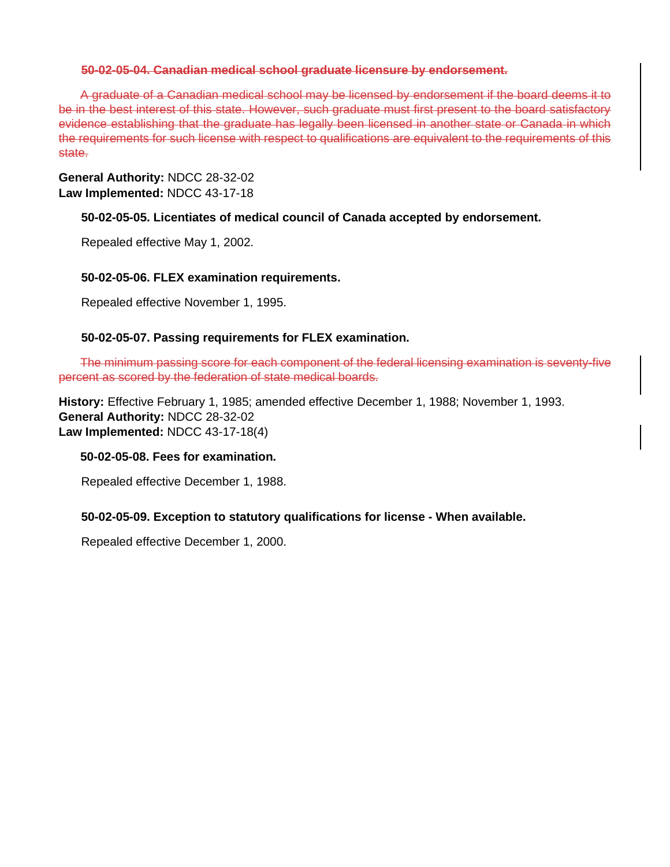#### **50-02-05-04. Canadian medical school graduate licensure by endorsement.**

A graduate of a Canadian medical school may be licensed by endorsement if the board deems it to be in the best interest of this state. However, such graduate must first present to the board satisfactory evidence establishing that the graduate has legally been licensed in another state or Canada in which the requirements for such license with respect to qualifications are equivalent to the requirements of this state.

## **General Authority:** NDCC 28-32-02 **Law Implemented:** NDCC 43-17-18

## **50-02-05-05. Licentiates of medical council of Canada accepted by endorsement.**

Repealed effective May 1, 2002.

## **50-02-05-06. FLEX examination requirements.**

Repealed effective November 1, 1995.

## **50-02-05-07. Passing requirements for FLEX examination.**

The minimum passing score for each component of the federal licensing examination is seventy-five percent as scored by the federation of state medical boards.

**History:** Effective February 1, 1985; amended effective December 1, 1988; November 1, 1993. **General Authority:** NDCC 28-32-02 **Law Implemented:** NDCC 43-17-18(4)

## **50-02-05-08. Fees for examination.**

Repealed effective December 1, 1988.

## **50-02-05-09. Exception to statutory qualifications for license - When available.**

Repealed effective December 1, 2000.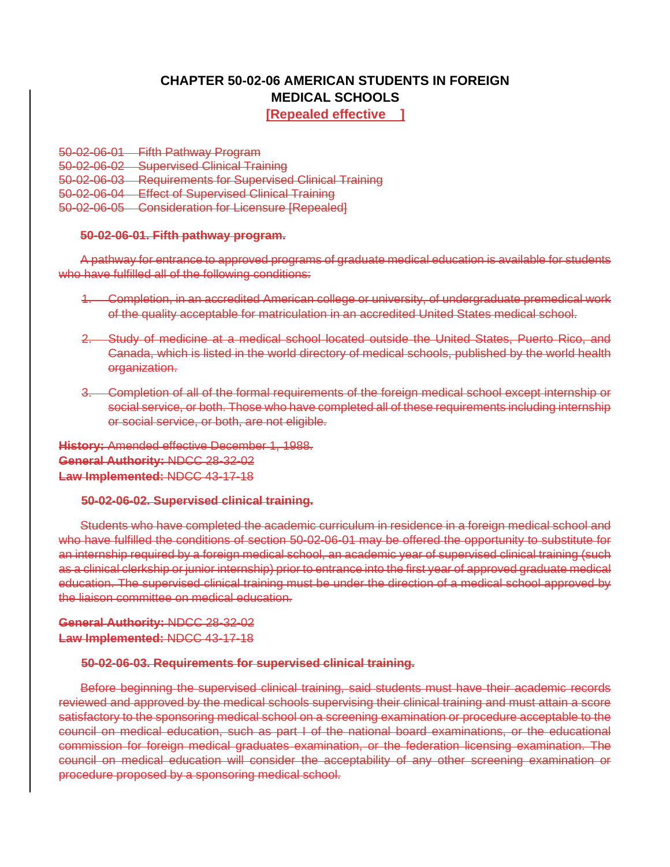# **CHAPTER 50-02-06 AMERICAN STUDENTS IN FOREIGN MEDICAL SCHOOLS**

**[Repealed effective ]**

50-02-06-01 Fifth Pathway Program 50-02-06-02 Supervised Clinical Training 50-02-06-03 Requirements for Supervised Clinical Training 50-02-06-04 Effect of Supervised Clinical Training 50-02-06-05 Consideration for Licensure [Repealed]

#### **50-02-06-01. Fifth pathway program.**

A pathway for entrance to approved programs of graduate medical education is available for students who have fulfilled all of the following conditions:

- 1. Completion, in an accredited American college or university, of undergraduate premedical work of the quality acceptable for matriculation in an accredited United States medical school.
- 2. Study of medicine at a medical school located outside the United States, Puerto Rico, and Canada, which is listed in the world directory of medical schools, published by the world health organization.
- 3. Completion of all of the formal requirements of the foreign medical school except internship or social service, or both. Those who have completed all of these requirements including internship or social service, or both, are not eligible.

**History:** Amended effective December 1, 1988. **General Authority:** NDCC 28-32-02 **Law Implemented:** NDCC 43-17-18

#### **50-02-06-02. Supervised clinical training.**

Students who have completed the academic curriculum in residence in a foreign medical school and who have fulfilled the conditions of section 50-02-06-01 may be offered the opportunity to substitute for an internship required by a foreign medical school, an academic year of supervised clinical training (such as a clinical clerkship or junior internship) prior to entrance into the first year of approved graduate medical education. The supervised clinical training must be under the direction of a medical school approved by the liaison committee on medical education.

**General Authority:** NDCC 28-32-02 **Law Implemented:** NDCC 43-17-18

#### **50-02-06-03. Requirements for supervised clinical training.**

Before beginning the supervised clinical training, said students must have their academic records reviewed and approved by the medical schools supervising their clinical training and must attain a score satisfactory to the sponsoring medical school on a screening examination or procedure acceptable to the council on medical education, such as part I of the national board examinations, or the educational commission for foreign medical graduates examination, or the federation licensing examination. The council on medical education will consider the acceptability of any other screening examination or procedure proposed by a sponsoring medical school.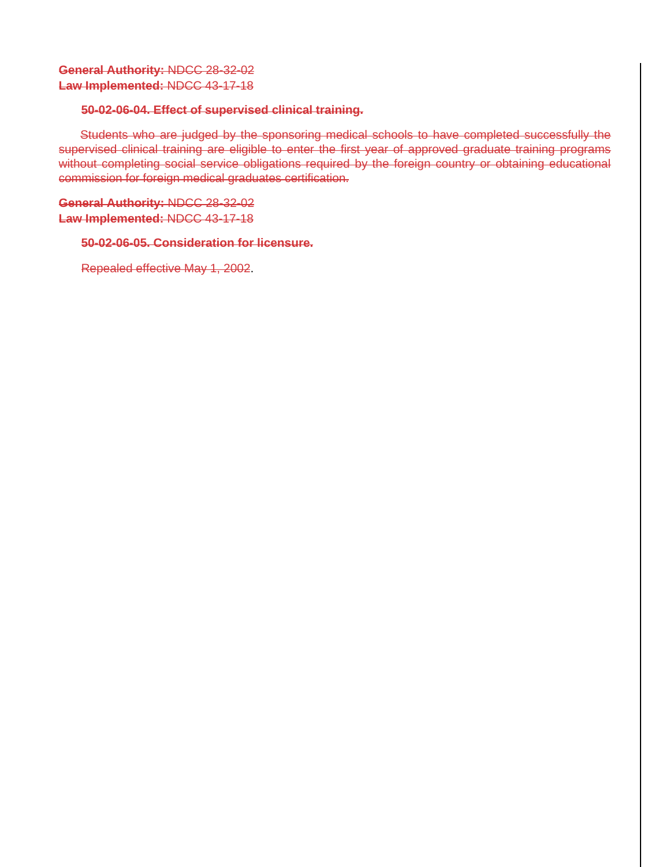## **General Authority:** NDCC 28-32-02 **Law Implemented:** NDCC 43-17-18

### **50-02-06-04. Effect of supervised clinical training.**

Students who are judged by the sponsoring medical schools to have completed successfully the supervised clinical training are eligible to enter the first year of approved graduate training programs without completing social service obligations required by the foreign country or obtaining educational commission for foreign medical graduates certification.

**General Authority:** NDCC 28-32-02 **Law Implemented:** NDCC 43-17-18

## **50-02-06-05. Consideration for licensure.**

Repealed effective May 1, 2002.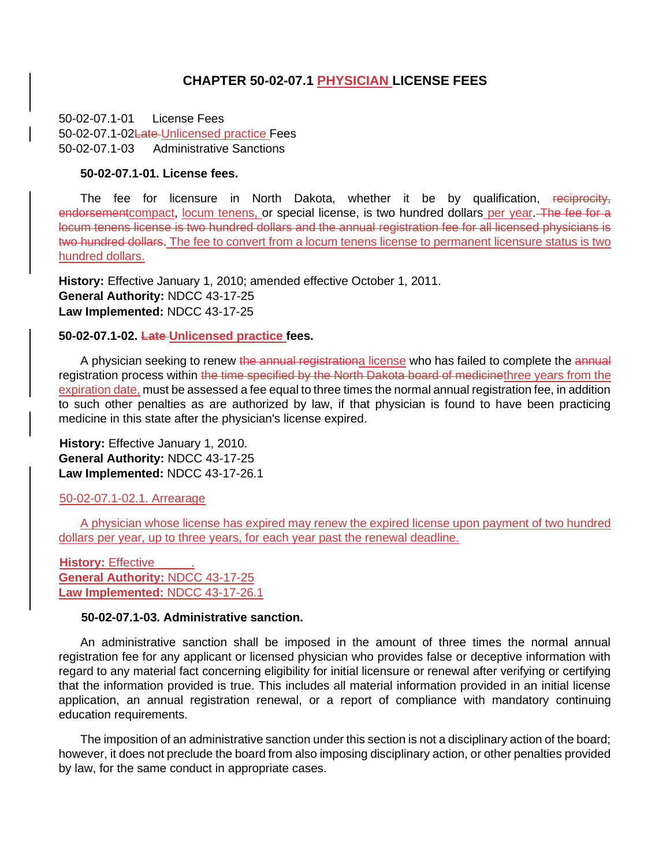## **CHAPTER 50-02-07.1 PHYSICIAN LICENSE FEES**

50-02-07.1-01 License Fees 50-02-07.1-02Late-Unlicensed practice Fees 50-02-07.1-03 Administrative Sanctions

#### **50-02-07.1-01. License fees.**

The fee for licensure in North Dakota, whether it be by qualification, reciprocity, endorsementcompact, locum tenens, or special license, is two hundred dollars per year. The fee for a locum tenens license is two hundred dollars and the annual registration fee for all licensed physicians is two hundred dollars. The fee to convert from a locum tenens license to permanent licensure status is two hundred dollars.

**History:** Effective January 1, 2010; amended effective October 1, 2011. **General Authority:** NDCC 43-17-25 **Law Implemented:** NDCC 43-17-25

#### **50-02-07.1-02. Late Unlicensed practice fees.**

A physician seeking to renew the annual registrationa license who has failed to complete the annual registration process within the time specified by the North Dakota board of medicinethree years from the expiration date, must be assessed a fee equal to three times the normal annual registration fee, in addition to such other penalties as are authorized by law, if that physician is found to have been practicing medicine in this state after the physician's license expired.

**History:** Effective January 1, 2010. **General Authority:** NDCC 43-17-25 **Law Implemented:** NDCC 43-17-26.1

#### 50-02-07.1-02.1. Arrearage

A physician whose license has expired may renew the expired license upon payment of two hundred dollars per year, up to three years, for each year past the renewal deadline.

**History: Effective General Authority:** NDCC 43-17-25 **Law Implemented:** NDCC 43-17-26.1

#### **50-02-07.1-03. Administrative sanction.**

An administrative sanction shall be imposed in the amount of three times the normal annual registration fee for any applicant or licensed physician who provides false or deceptive information with regard to any material fact concerning eligibility for initial licensure or renewal after verifying or certifying that the information provided is true. This includes all material information provided in an initial license application, an annual registration renewal, or a report of compliance with mandatory continuing education requirements.

The imposition of an administrative sanction under this section is not a disciplinary action of the board; however, it does not preclude the board from also imposing disciplinary action, or other penalties provided by law, for the same conduct in appropriate cases.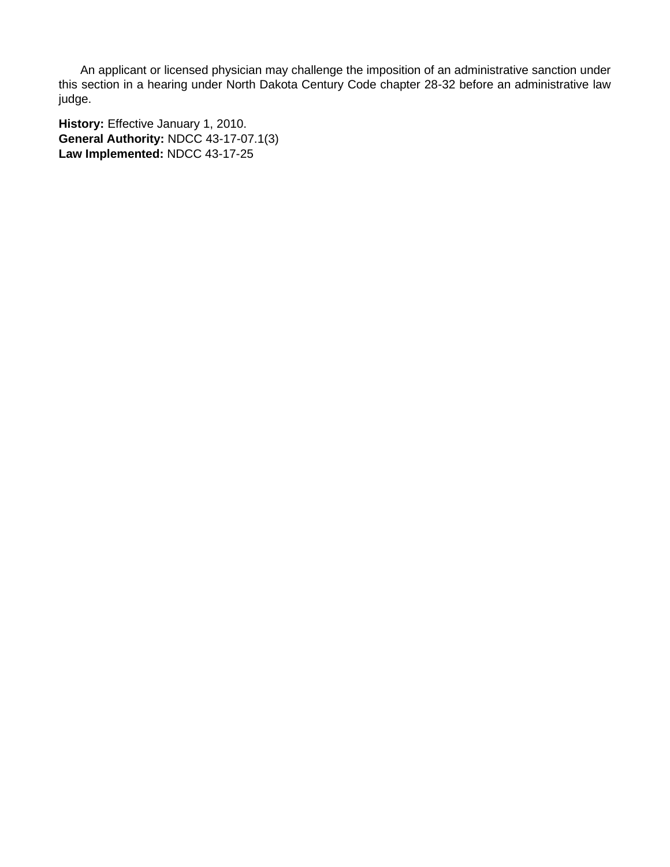An applicant or licensed physician may challenge the imposition of an administrative sanction under this section in a hearing under North Dakota Century Code chapter 28-32 before an administrative law judge.

**History:** Effective January 1, 2010. **General Authority:** NDCC 43-17-07.1(3) **Law Implemented:** NDCC 43-17-25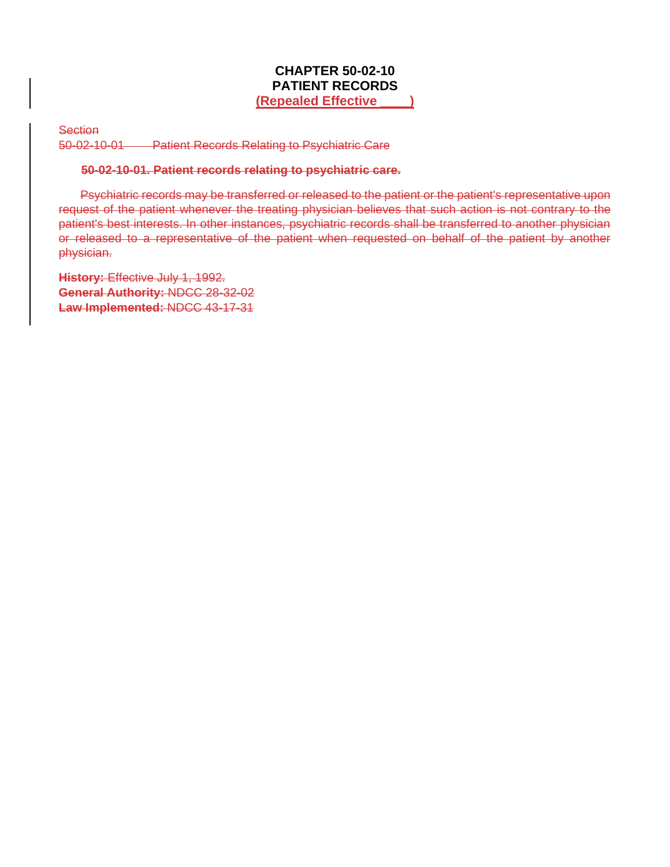## **CHAPTER 50-02-10 PATIENT RECORDS (Repealed Effective \_\_\_\_)**

**Section** 

50-02-10-01 Patient Records Relating to Psychiatric Care

#### **50-02-10-01. Patient records relating to psychiatric care.**

Psychiatric records may be transferred or released to the patient or the patient's representative upon request of the patient whenever the treating physician believes that such action is not contrary to the patient's best interests. In other instances, psychiatric records shall be transferred to another physician or released to a representative of the patient when requested on behalf of the patient by another physician.

**History:** Effective July 1, 1992. **General Authority:** NDCC 28-32-02 **Law Implemented:** NDCC 43-17-31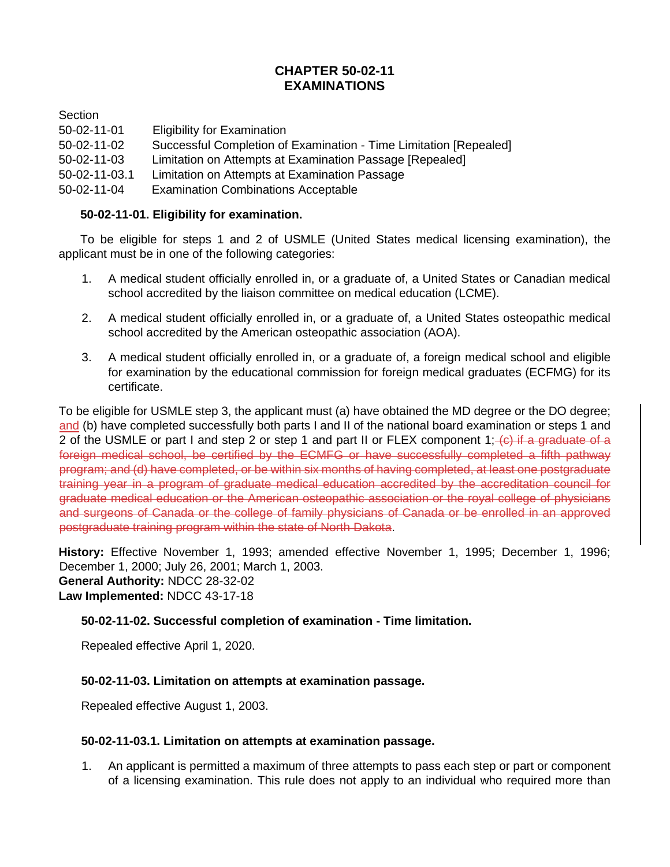# **CHAPTER 50-02-11 EXAMINATIONS**

**Section** 

- 50-02-11-01 Eligibility for Examination
- 50-02-11-02 Successful Completion of Examination Time Limitation [Repealed]
- 50-02-11-03 Limitation on Attempts at Examination Passage [Repealed]
- 50-02-11-03.1 Limitation on Attempts at Examination Passage
- 50-02-11-04 Examination Combinations Acceptable

## **50-02-11-01. Eligibility for examination.**

To be eligible for steps 1 and 2 of USMLE (United States medical licensing examination), the applicant must be in one of the following categories:

- 1. A medical student officially enrolled in, or a graduate of, a United States or Canadian medical school accredited by the liaison committee on medical education (LCME).
- 2. A medical student officially enrolled in, or a graduate of, a United States osteopathic medical school accredited by the American osteopathic association (AOA).
- 3. A medical student officially enrolled in, or a graduate of, a foreign medical school and eligible for examination by the educational commission for foreign medical graduates (ECFMG) for its certificate.

To be eligible for USMLE step 3, the applicant must (a) have obtained the MD degree or the DO degree; and (b) have completed successfully both parts I and II of the national board examination or steps 1 and 2 of the USMLE or part I and step 2 or step 1 and part II or FLEX component 1;  $\left\langle \epsilon\right\rangle$  if a graduate of a foreign medical school, be certified by the ECMFG or have successfully completed a fifth pathway program; and (d) have completed, or be within six months of having completed, at least one postgraduate training year in a program of graduate medical education accredited by the accreditation council for graduate medical education or the American osteopathic association or the royal college of physicians and surgeons of Canada or the college of family physicians of Canada or be enrolled in an approved postgraduate training program within the state of North Dakota.

**History:** Effective November 1, 1993; amended effective November 1, 1995; December 1, 1996; December 1, 2000; July 26, 2001; March 1, 2003. **General Authority:** NDCC 28-32-02 **Law Implemented:** NDCC 43-17-18

## **50-02-11-02. Successful completion of examination - Time limitation.**

Repealed effective April 1, 2020.

## **50-02-11-03. Limitation on attempts at examination passage.**

Repealed effective August 1, 2003.

## **50-02-11-03.1. Limitation on attempts at examination passage.**

1. An applicant is permitted a maximum of three attempts to pass each step or part or component of a licensing examination. This rule does not apply to an individual who required more than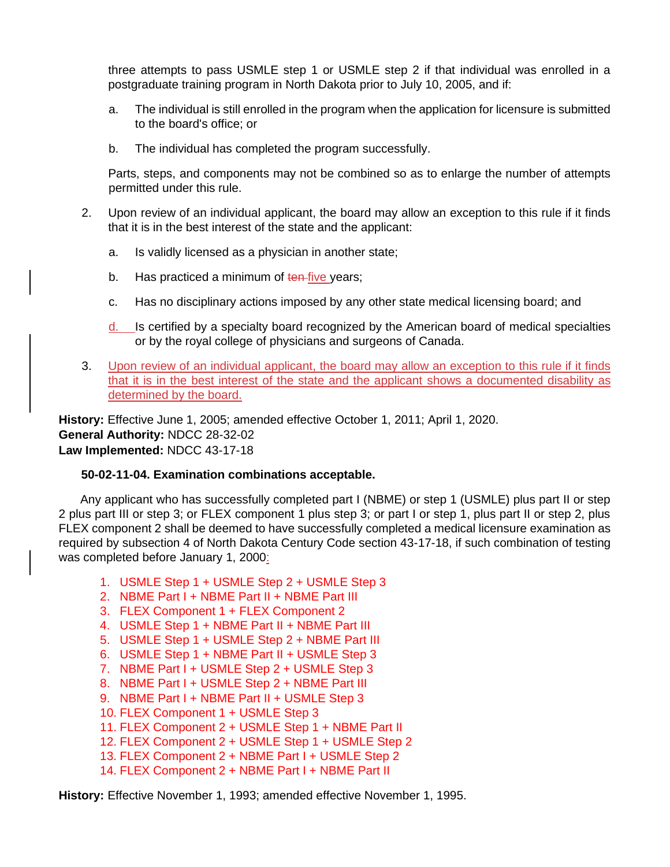three attempts to pass USMLE step 1 or USMLE step 2 if that individual was enrolled in a postgraduate training program in North Dakota prior to July 10, 2005, and if:

- a. The individual is still enrolled in the program when the application for licensure is submitted to the board's office; or
- b. The individual has completed the program successfully.

Parts, steps, and components may not be combined so as to enlarge the number of attempts permitted under this rule.

- 2. Upon review of an individual applicant, the board may allow an exception to this rule if it finds that it is in the best interest of the state and the applicant:
	- a. Is validly licensed as a physician in another state;
	- b. Has practiced a minimum of ten-five years;
	- c. Has no disciplinary actions imposed by any other state medical licensing board; and
	- d. Is certified by a specialty board recognized by the American board of medical specialties or by the royal college of physicians and surgeons of Canada.
- 3. Upon review of an individual applicant, the board may allow an exception to this rule if it finds that it is in the best interest of the state and the applicant shows a documented disability as determined by the board.

**History:** Effective June 1, 2005; amended effective October 1, 2011; April 1, 2020. **General Authority:** NDCC 28-32-02 **Law Implemented:** NDCC 43-17-18

## **50-02-11-04. Examination combinations acceptable.**

Any applicant who has successfully completed part I (NBME) or step 1 (USMLE) plus part II or step 2 plus part III or step 3; or FLEX component 1 plus step 3; or part I or step 1, plus part II or step 2, plus FLEX component 2 shall be deemed to have successfully completed a medical licensure examination as required by subsection 4 of North Dakota Century Code section 43-17-18, if such combination of testing was completed before January 1, 2000:

- 1. USMLE Step 1 + USMLE Step 2 + USMLE Step 3
- 2. NBME Part I + NBME Part II + NBME Part III
- 3. FLEX Component 1 + FLEX Component 2
- 4. USMLE Step 1 + NBME Part II + NBME Part III
- 5. USMLE Step 1 + USMLE Step 2 + NBME Part III
- 6. USMLE Step 1 + NBME Part II + USMLE Step 3
- 7. NBME Part I + USMLE Step 2 + USMLE Step 3
- 8. NBME Part I + USMLE Step 2 + NBME Part III
- 9. NBME Part I + NBME Part II + USMLE Step 3
- 10. FLEX Component 1 + USMLE Step 3
- 11. FLEX Component 2 + USMLE Step 1 + NBME Part II
- 12. FLEX Component 2 + USMLE Step 1 + USMLE Step 2
- 13. FLEX Component 2 + NBME Part I + USMLE Step 2
- 14. FLEX Component 2 + NBME Part I + NBME Part II

**History:** Effective November 1, 1993; amended effective November 1, 1995.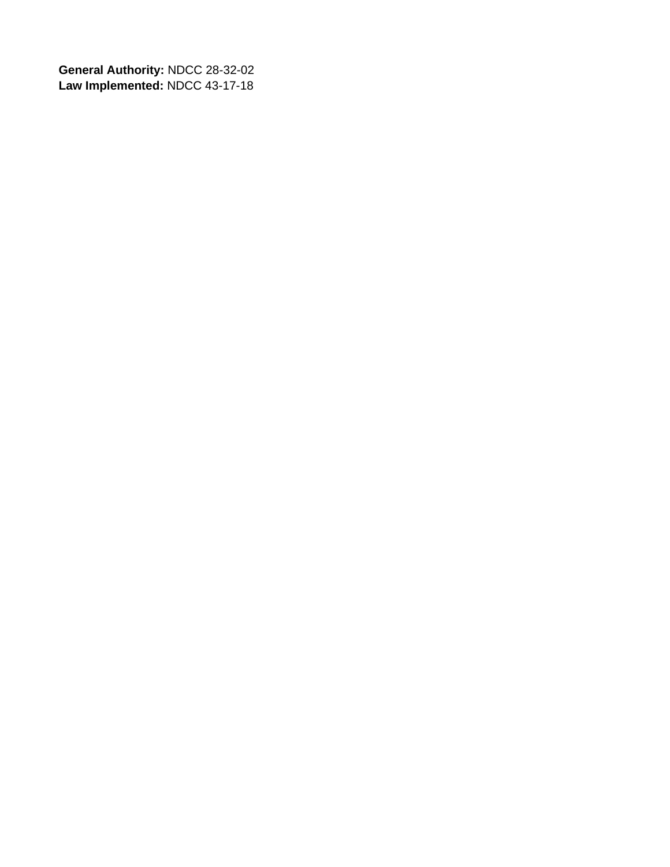**General Authority:** NDCC 28-32-02 **Law Implemented:** NDCC 43-17-18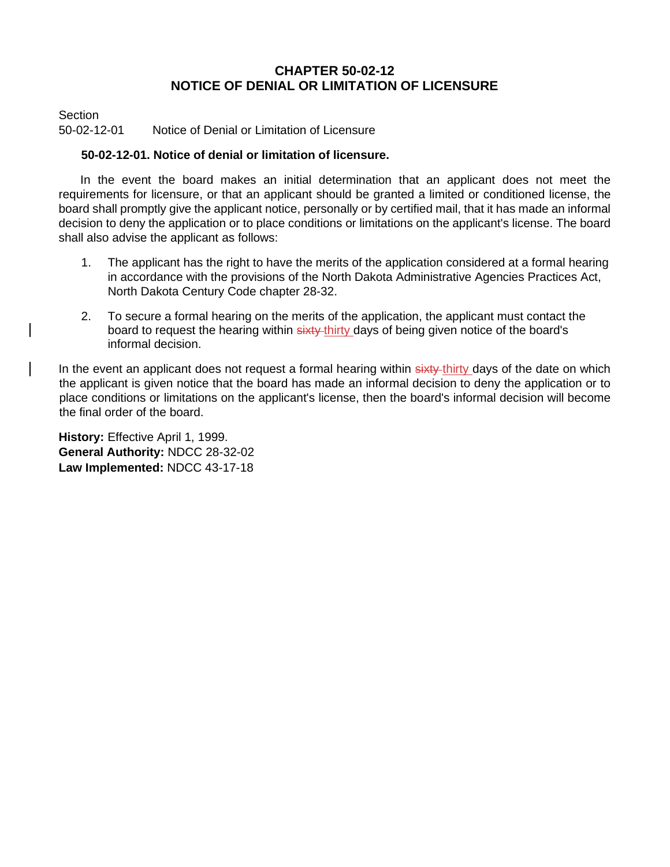## **CHAPTER 50-02-12 NOTICE OF DENIAL OR LIMITATION OF LICENSURE**

**Section** 

50-02-12-01 Notice of Denial or Limitation of Licensure

## **50-02-12-01. Notice of denial or limitation of licensure.**

In the event the board makes an initial determination that an applicant does not meet the requirements for licensure, or that an applicant should be granted a limited or conditioned license, the board shall promptly give the applicant notice, personally or by certified mail, that it has made an informal decision to deny the application or to place conditions or limitations on the applicant's license. The board shall also advise the applicant as follows:

- 1. The applicant has the right to have the merits of the application considered at a formal hearing in accordance with the provisions of the North Dakota Administrative Agencies Practices Act, North Dakota Century Code chapter 28-32.
- 2. To secure a formal hearing on the merits of the application, the applicant must contact the board to request the hearing within sixty-thirty days of being given notice of the board's informal decision.

In the event an applicant does not request a formal hearing within sixty-thirty days of the date on which the applicant is given notice that the board has made an informal decision to deny the application or to place conditions or limitations on the applicant's license, then the board's informal decision will become the final order of the board.

**History:** Effective April 1, 1999. **General Authority:** NDCC 28-32-02 **Law Implemented:** NDCC 43-17-18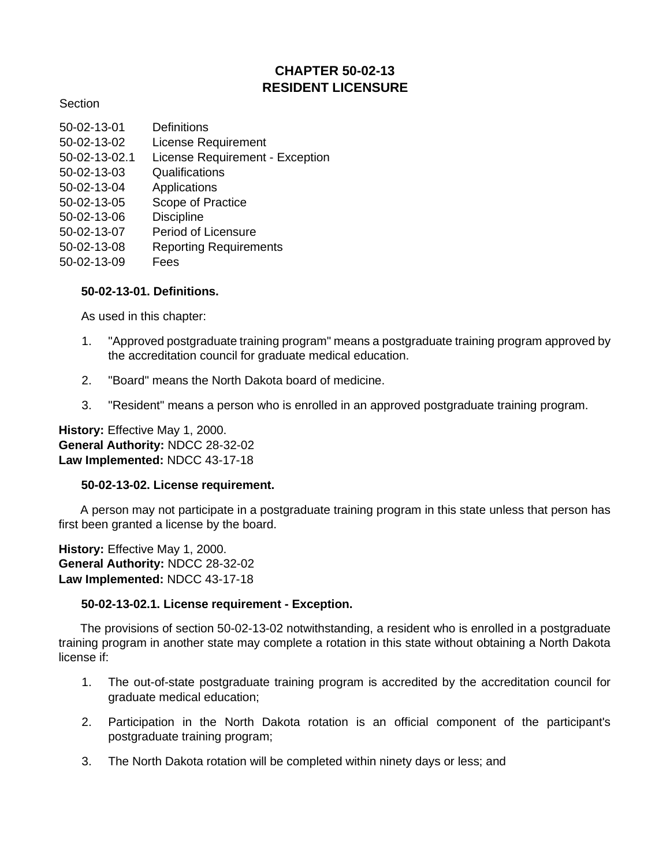# **CHAPTER 50-02-13 RESIDENT LICENSURE**

### **Section**

| 50-02-13-01   | Definitions                     |
|---------------|---------------------------------|
| 50-02-13-02   | <b>License Requirement</b>      |
| 50-02-13-02.1 | License Requirement - Exception |
| 50-02-13-03   | Qualifications                  |
| 50-02-13-04   | Applications                    |
| 50-02-13-05   | Scope of Practice               |
| 50-02-13-06   | <b>Discipline</b>               |
| 50-02-13-07   | Period of Licensure             |
| 50-02-13-08   | <b>Reporting Requirements</b>   |
| 50-02-13-09   | Fees                            |

## **50-02-13-01. Definitions.**

As used in this chapter:

- 1. "Approved postgraduate training program" means a postgraduate training program approved by the accreditation council for graduate medical education.
- 2. "Board" means the North Dakota board of medicine.
- 3. "Resident" means a person who is enrolled in an approved postgraduate training program.

**History:** Effective May 1, 2000. **General Authority:** NDCC 28-32-02 **Law Implemented:** NDCC 43-17-18

#### **50-02-13-02. License requirement.**

A person may not participate in a postgraduate training program in this state unless that person has first been granted a license by the board.

**History:** Effective May 1, 2000. **General Authority:** NDCC 28-32-02 **Law Implemented:** NDCC 43-17-18

## **50-02-13-02.1. License requirement - Exception.**

The provisions of section 50-02-13-02 notwithstanding, a resident who is enrolled in a postgraduate training program in another state may complete a rotation in this state without obtaining a North Dakota license if:

- 1. The out-of-state postgraduate training program is accredited by the accreditation council for graduate medical education;
- 2. Participation in the North Dakota rotation is an official component of the participant's postgraduate training program;
- 3. The North Dakota rotation will be completed within ninety days or less; and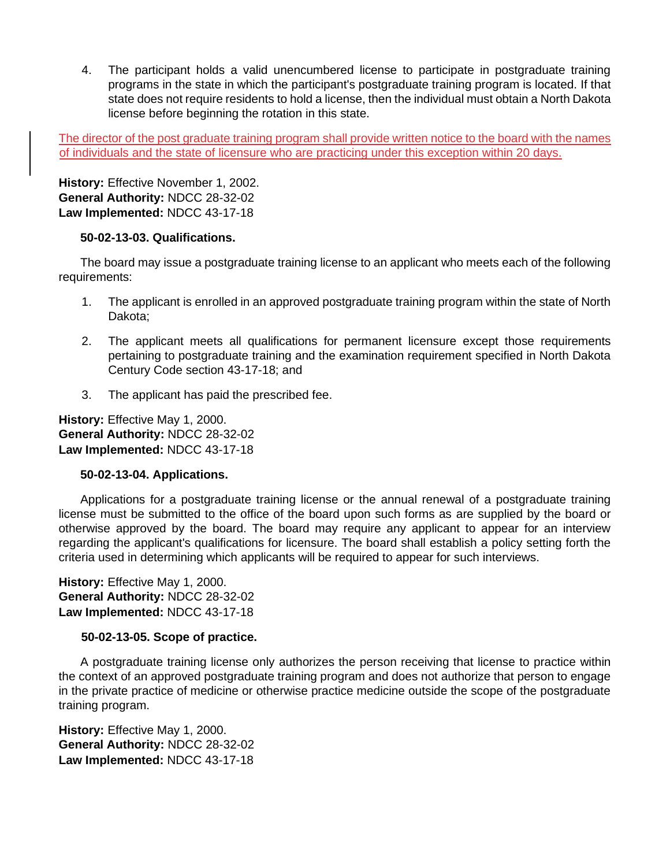4. The participant holds a valid unencumbered license to participate in postgraduate training programs in the state in which the participant's postgraduate training program is located. If that state does not require residents to hold a license, then the individual must obtain a North Dakota license before beginning the rotation in this state.

The director of the post graduate training program shall provide written notice to the board with the names of individuals and the state of licensure who are practicing under this exception within 20 days.

**History:** Effective November 1, 2002. **General Authority:** NDCC 28-32-02 **Law Implemented:** NDCC 43-17-18

## **50-02-13-03. Qualifications.**

The board may issue a postgraduate training license to an applicant who meets each of the following requirements:

- 1. The applicant is enrolled in an approved postgraduate training program within the state of North Dakota;
- 2. The applicant meets all qualifications for permanent licensure except those requirements pertaining to postgraduate training and the examination requirement specified in North Dakota Century Code section 43-17-18; and
- 3. The applicant has paid the prescribed fee.

**History:** Effective May 1, 2000. **General Authority:** NDCC 28-32-02 **Law Implemented:** NDCC 43-17-18

## **50-02-13-04. Applications.**

Applications for a postgraduate training license or the annual renewal of a postgraduate training license must be submitted to the office of the board upon such forms as are supplied by the board or otherwise approved by the board. The board may require any applicant to appear for an interview regarding the applicant's qualifications for licensure. The board shall establish a policy setting forth the criteria used in determining which applicants will be required to appear for such interviews.

**History:** Effective May 1, 2000. **General Authority:** NDCC 28-32-02 **Law Implemented:** NDCC 43-17-18

## **50-02-13-05. Scope of practice.**

A postgraduate training license only authorizes the person receiving that license to practice within the context of an approved postgraduate training program and does not authorize that person to engage in the private practice of medicine or otherwise practice medicine outside the scope of the postgraduate training program.

**History:** Effective May 1, 2000. **General Authority:** NDCC 28-32-02 **Law Implemented:** NDCC 43-17-18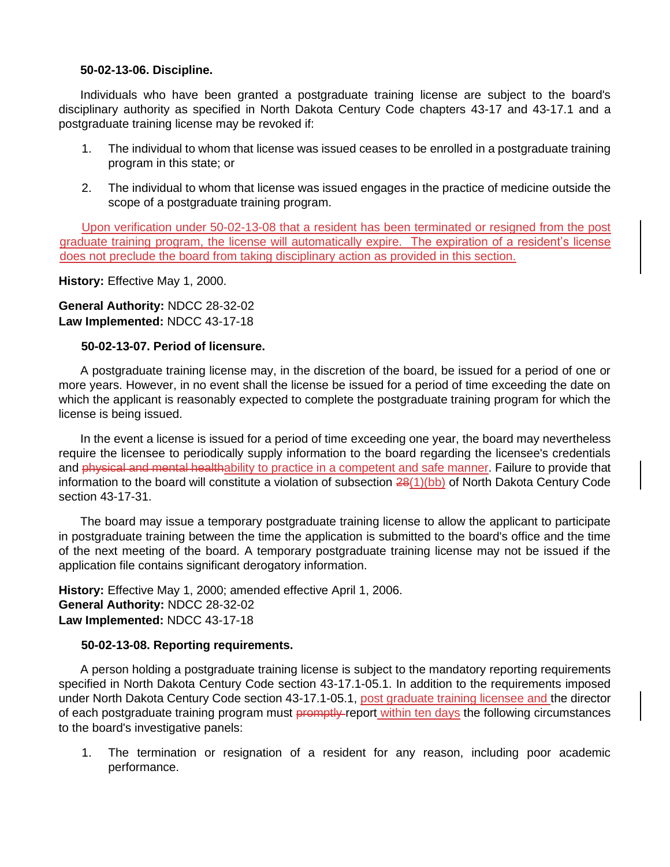### **50-02-13-06. Discipline.**

Individuals who have been granted a postgraduate training license are subject to the board's disciplinary authority as specified in North Dakota Century Code chapters 43-17 and 43-17.1 and a postgraduate training license may be revoked if:

- 1. The individual to whom that license was issued ceases to be enrolled in a postgraduate training program in this state; or
- 2. The individual to whom that license was issued engages in the practice of medicine outside the scope of a postgraduate training program.

Upon verification under 50-02-13-08 that a resident has been terminated or resigned from the post graduate training program, the license will automatically expire. The expiration of a resident's license does not preclude the board from taking disciplinary action as provided in this section.

**History:** Effective May 1, 2000.

**General Authority:** NDCC 28-32-02 **Law Implemented:** NDCC 43-17-18

## **50-02-13-07. Period of licensure.**

A postgraduate training license may, in the discretion of the board, be issued for a period of one or more years. However, in no event shall the license be issued for a period of time exceeding the date on which the applicant is reasonably expected to complete the postgraduate training program for which the license is being issued.

In the event a license is issued for a period of time exceeding one year, the board may nevertheless require the licensee to periodically supply information to the board regarding the licensee's credentials and physical and mental healthability to practice in a competent and safe manner. Failure to provide that information to the board will constitute a violation of subsection 28(1)(bb) of North Dakota Century Code section 43-17-31.

The board may issue a temporary postgraduate training license to allow the applicant to participate in postgraduate training between the time the application is submitted to the board's office and the time of the next meeting of the board. A temporary postgraduate training license may not be issued if the application file contains significant derogatory information.

**History:** Effective May 1, 2000; amended effective April 1, 2006. **General Authority:** NDCC 28-32-02 **Law Implemented:** NDCC 43-17-18

#### **50-02-13-08. Reporting requirements.**

A person holding a postgraduate training license is subject to the mandatory reporting requirements specified in North Dakota Century Code section 43-17.1-05.1. In addition to the requirements imposed under North Dakota Century Code section 43-17.1-05.1, post graduate training licensee and the director of each postgraduate training program must promptly report within ten days the following circumstances to the board's investigative panels:

1. The termination or resignation of a resident for any reason, including poor academic performance.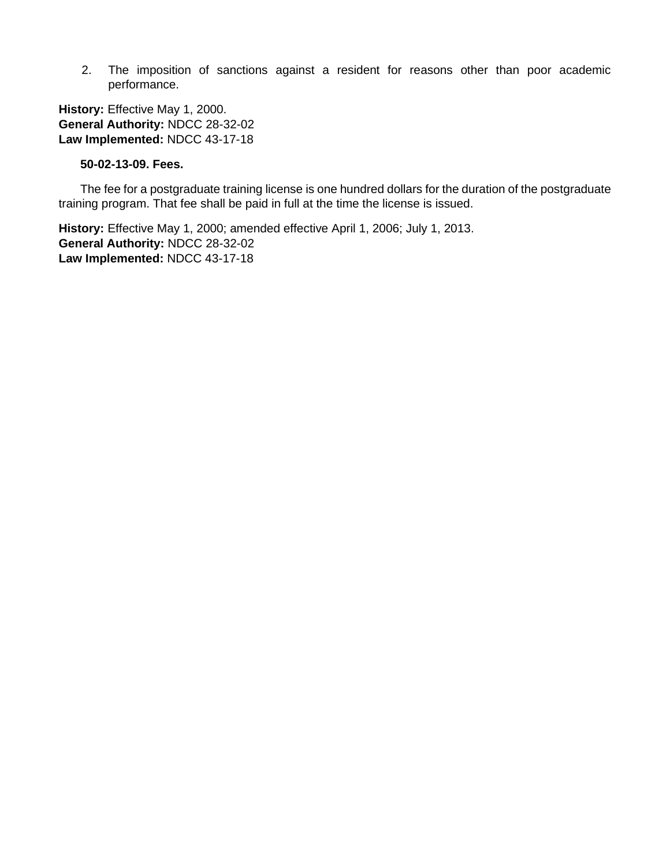2. The imposition of sanctions against a resident for reasons other than poor academic performance.

**History:** Effective May 1, 2000. **General Authority:** NDCC 28-32-02 **Law Implemented:** NDCC 43-17-18

### **50-02-13-09. Fees.**

The fee for a postgraduate training license is one hundred dollars for the duration of the postgraduate training program. That fee shall be paid in full at the time the license is issued.

**History:** Effective May 1, 2000; amended effective April 1, 2006; July 1, 2013. **General Authority:** NDCC 28-32-02 **Law Implemented:** NDCC 43-17-18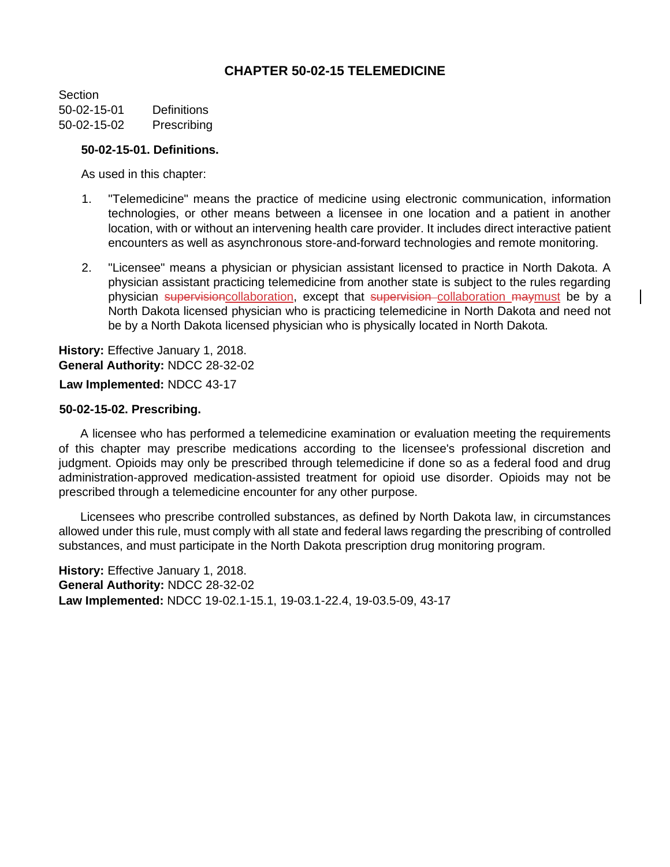# **CHAPTER 50-02-15 TELEMEDICINE**

**Section** 50-02-15-01 Definitions 50-02-15-02 Prescribing

#### **50-02-15-01. Definitions.**

As used in this chapter:

- 1. "Telemedicine" means the practice of medicine using electronic communication, information technologies, or other means between a licensee in one location and a patient in another location, with or without an intervening health care provider. It includes direct interactive patient encounters as well as asynchronous store-and-forward technologies and remote monitoring.
- 2. "Licensee" means a physician or physician assistant licensed to practice in North Dakota. A physician assistant practicing telemedicine from another state is subject to the rules regarding physician supervisioncollaboration, except that supervision collaboration maymust be by a North Dakota licensed physician who is practicing telemedicine in North Dakota and need not be by a North Dakota licensed physician who is physically located in North Dakota.

**History:** Effective January 1, 2018. **General Authority:** NDCC 28-32-02

## **Law Implemented:** NDCC 43-17

#### **50-02-15-02. Prescribing.**

A licensee who has performed a telemedicine examination or evaluation meeting the requirements of this chapter may prescribe medications according to the licensee's professional discretion and judgment. Opioids may only be prescribed through telemedicine if done so as a federal food and drug administration-approved medication-assisted treatment for opioid use disorder. Opioids may not be prescribed through a telemedicine encounter for any other purpose.

Licensees who prescribe controlled substances, as defined by North Dakota law, in circumstances allowed under this rule, must comply with all state and federal laws regarding the prescribing of controlled substances, and must participate in the North Dakota prescription drug monitoring program.

**History:** Effective January 1, 2018. **General Authority:** NDCC 28-32-02 **Law Implemented:** NDCC 19-02.1-15.1, 19-03.1-22.4, 19-03.5-09, 43-17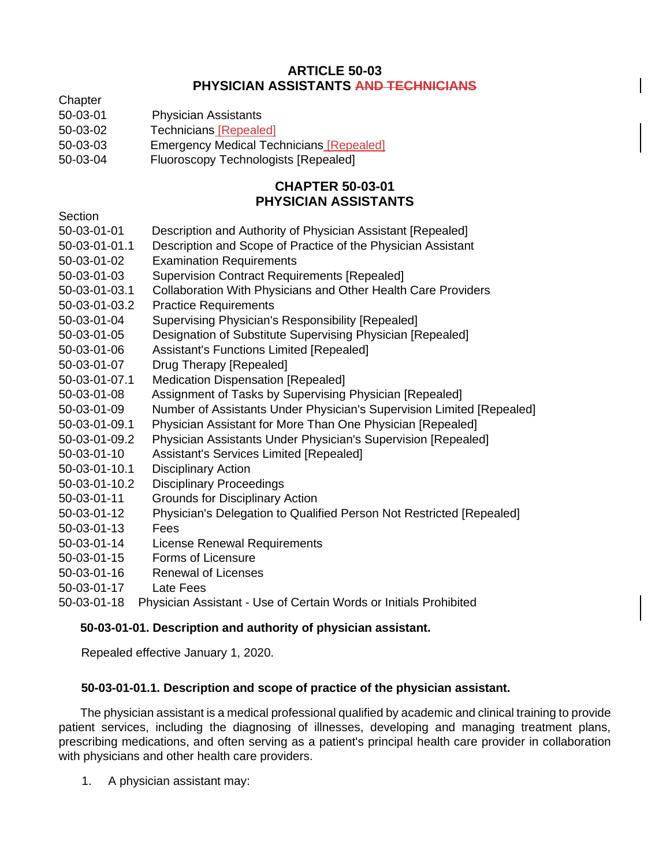# **ARTICLE 50-03 PHYSICIAN ASSISTANTS AND TECHNICIANS**

- **Chapter**
- 50-03-01 Physician Assistants
- 50-03-02 Technicians [Repealed]
- 50-03-03 Emergency Medical Technicians [Repealed]
- 50-03-04 Fluoroscopy Technologists [Repealed]

# **CHAPTER 50-03-01 PHYSICIAN ASSISTANTS**

## **Section**

- 50-03-01-01 Description and Authority of Physician Assistant [Repealed]
- 50-03-01-01.1 Description and Scope of Practice of the Physician Assistant
- 50-03-01-02 Examination Requirements
- 50-03-01-03 Supervision Contract Requirements [Repealed]
- 50-03-01-03.1 Collaboration With Physicians and Other Health Care Providers
- 50-03-01-03.2 Practice Requirements
- 50-03-01-04 Supervising Physician's Responsibility [Repealed]
- 50-03-01-05 Designation of Substitute Supervising Physician [Repealed]
- 50-03-01-06 Assistant's Functions Limited [Repealed]
- 50-03-01-07 Drug Therapy [Repealed]
- 50-03-01-07.1 Medication Dispensation [Repealed]
- 50-03-01-08 Assignment of Tasks by Supervising Physician [Repealed]
- 50-03-01-09 Number of Assistants Under Physician's Supervision Limited [Repealed]
- 50-03-01-09.1 Physician Assistant for More Than One Physician [Repealed]
- 50-03-01-09.2 Physician Assistants Under Physician's Supervision [Repealed]
- 50-03-01-10 Assistant's Services Limited [Repealed]
- 50-03-01-10.1 Disciplinary Action
- 50-03-01-10.2 Disciplinary Proceedings
- 50-03-01-11 Grounds for Disciplinary Action
- 50-03-01-12 Physician's Delegation to Qualified Person Not Restricted [Repealed]
- 50-03-01-13 Fees
- 50-03-01-14 License Renewal Requirements
- 50-03-01-15 Forms of Licensure
- 50-03-01-16 Renewal of Licenses
- 50-03-01-17 Late Fees
- 50-03-01-18 Physician Assistant Use of Certain Words or Initials Prohibited

## **50-03-01-01. Description and authority of physician assistant.**

Repealed effective January 1, 2020.

## **50-03-01-01.1. Description and scope of practice of the physician assistant.**

The physician assistant is a medical professional qualified by academic and clinical training to provide patient services, including the diagnosing of illnesses, developing and managing treatment plans, prescribing medications, and often serving as a patient's principal health care provider in collaboration with physicians and other health care providers.

1. A physician assistant may: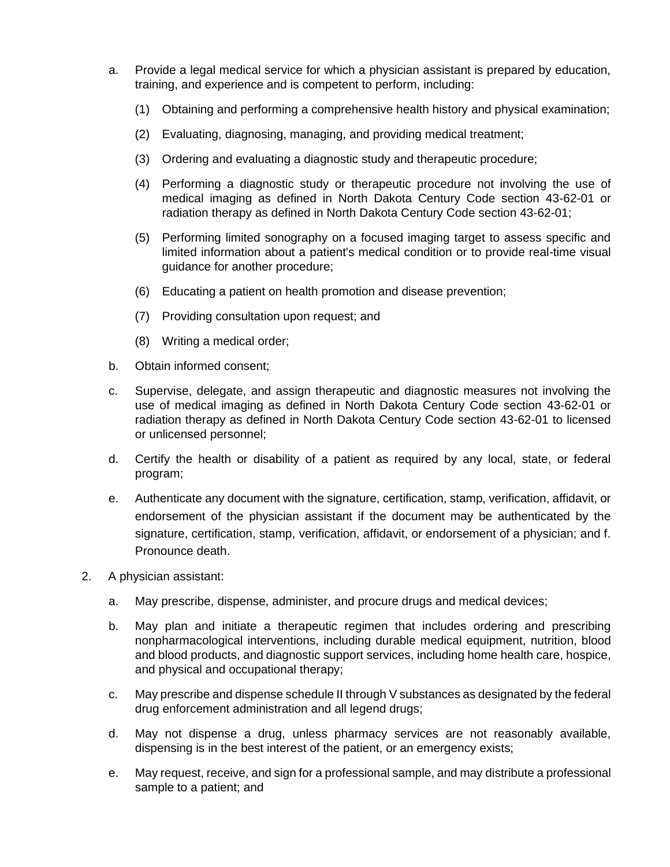- a. Provide a legal medical service for which a physician assistant is prepared by education, training, and experience and is competent to perform, including:
	- (1) Obtaining and performing a comprehensive health history and physical examination;
	- (2) Evaluating, diagnosing, managing, and providing medical treatment;
	- (3) Ordering and evaluating a diagnostic study and therapeutic procedure;
	- (4) Performing a diagnostic study or therapeutic procedure not involving the use of medical imaging as defined in North Dakota Century Code section 43-62-01 or radiation therapy as defined in North Dakota Century Code section 43-62-01;
	- (5) Performing limited sonography on a focused imaging target to assess specific and limited information about a patient's medical condition or to provide real-time visual guidance for another procedure;
	- (6) Educating a patient on health promotion and disease prevention;
	- (7) Providing consultation upon request; and
	- (8) Writing a medical order;
- b. Obtain informed consent;
- c. Supervise, delegate, and assign therapeutic and diagnostic measures not involving the use of medical imaging as defined in North Dakota Century Code section 43-62-01 or radiation therapy as defined in North Dakota Century Code section 43-62-01 to licensed or unlicensed personnel;
- d. Certify the health or disability of a patient as required by any local, state, or federal program;
- e. Authenticate any document with the signature, certification, stamp, verification, affidavit, or endorsement of the physician assistant if the document may be authenticated by the signature, certification, stamp, verification, affidavit, or endorsement of a physician; and f. Pronounce death.
- 2. A physician assistant:
	- a. May prescribe, dispense, administer, and procure drugs and medical devices;
	- b. May plan and initiate a therapeutic regimen that includes ordering and prescribing nonpharmacological interventions, including durable medical equipment, nutrition, blood and blood products, and diagnostic support services, including home health care, hospice, and physical and occupational therapy;
	- c. May prescribe and dispense schedule II through V substances as designated by the federal drug enforcement administration and all legend drugs;
	- d. May not dispense a drug, unless pharmacy services are not reasonably available, dispensing is in the best interest of the patient, or an emergency exists;
	- e. May request, receive, and sign for a professional sample, and may distribute a professional sample to a patient; and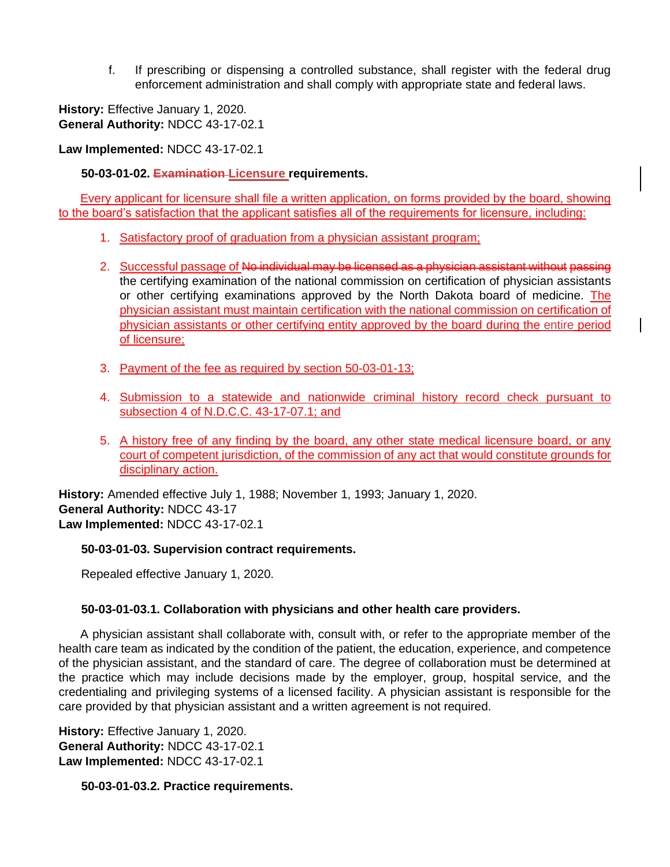f. If prescribing or dispensing a controlled substance, shall register with the federal drug enforcement administration and shall comply with appropriate state and federal laws.

**History:** Effective January 1, 2020. **General Authority:** NDCC 43-17-02.1

**Law Implemented:** NDCC 43-17-02.1

## **50-03-01-02. Examination Licensure requirements.**

Every applicant for licensure shall file a written application, on forms provided by the board, showing to the board's satisfaction that the applicant satisfies all of the requirements for licensure, including:

- 1. Satisfactory proof of graduation from a physician assistant program;
- 2. Successful passage of No individual may be licensed as a physician assistant without passing the certifying examination of the national commission on certification of physician assistants or other certifying examinations approved by the North Dakota board of medicine. The physician assistant must maintain certification with the national commission on certification of physician assistants or other certifying entity approved by the board during the entire period of licensure;
- 3. Payment of the fee as required by section 50-03-01-13;
- 4. Submission to a statewide and nationwide criminal history record check pursuant to subsection 4 of N.D.C.C. 43-17-07.1; and
- 5. A history free of any finding by the board, any other state medical licensure board, or any court of competent jurisdiction, of the commission of any act that would constitute grounds for disciplinary action.

**History:** Amended effective July 1, 1988; November 1, 1993; January 1, 2020. **General Authority:** NDCC 43-17 **Law Implemented:** NDCC 43-17-02.1

## **50-03-01-03. Supervision contract requirements.**

Repealed effective January 1, 2020.

## **50-03-01-03.1. Collaboration with physicians and other health care providers.**

A physician assistant shall collaborate with, consult with, or refer to the appropriate member of the health care team as indicated by the condition of the patient, the education, experience, and competence of the physician assistant, and the standard of care. The degree of collaboration must be determined at the practice which may include decisions made by the employer, group, hospital service, and the credentialing and privileging systems of a licensed facility. A physician assistant is responsible for the care provided by that physician assistant and a written agreement is not required.

**History:** Effective January 1, 2020. **General Authority:** NDCC 43-17-02.1 **Law Implemented:** NDCC 43-17-02.1

**50-03-01-03.2. Practice requirements.**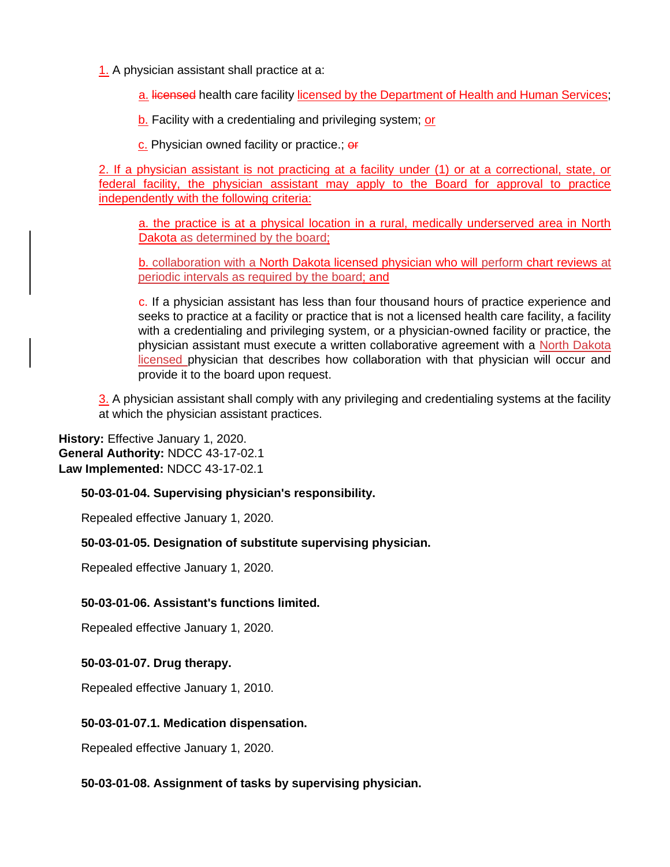1. A physician assistant shall practice at a:

a. licensed health care facility licensed by the Department of Health and Human Services;

b. Facility with a credentialing and privileging system; or

c. Physician owned facility or practice.; or

2. If a physician assistant is not practicing at a facility under (1) or at a correctional, state, or federal facility, the physician assistant may apply to the Board for approval to practice independently with the following criteria:

a. the practice is at a physical location in a rural, medically underserved area in North Dakota as determined by the board;

b. collaboration with a North Dakota licensed physician who will perform chart reviews at periodic intervals as required by the board; and

c. If a physician assistant has less than four thousand hours of practice experience and seeks to practice at a facility or practice that is not a licensed health care facility, a facility with a credentialing and privileging system, or a physician-owned facility or practice, the physician assistant must execute a written collaborative agreement with a North Dakota licensed physician that describes how collaboration with that physician will occur and provide it to the board upon request.

3. A physician assistant shall comply with any privileging and credentialing systems at the facility at which the physician assistant practices.

**History:** Effective January 1, 2020. **General Authority:** NDCC 43-17-02.1 **Law Implemented:** NDCC 43-17-02.1

## **50-03-01-04. Supervising physician's responsibility.**

Repealed effective January 1, 2020.

## **50-03-01-05. Designation of substitute supervising physician.**

Repealed effective January 1, 2020.

## **50-03-01-06. Assistant's functions limited.**

Repealed effective January 1, 2020.

## **50-03-01-07. Drug therapy.**

Repealed effective January 1, 2010.

## **50-03-01-07.1. Medication dispensation.**

Repealed effective January 1, 2020.

## **50-03-01-08. Assignment of tasks by supervising physician.**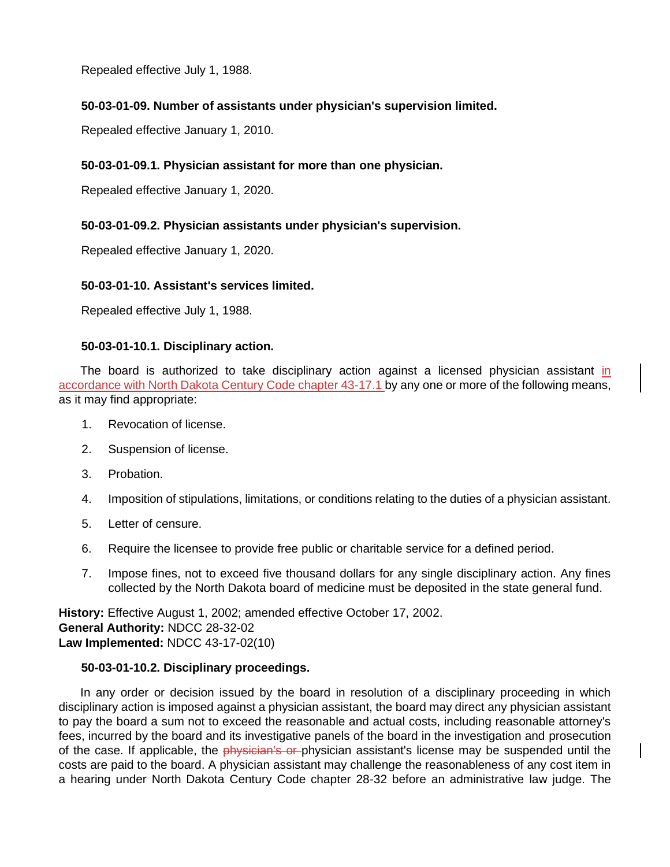Repealed effective July 1, 1988.

## **50-03-01-09. Number of assistants under physician's supervision limited.**

Repealed effective January 1, 2010.

## **50-03-01-09.1. Physician assistant for more than one physician.**

Repealed effective January 1, 2020.

## **50-03-01-09.2. Physician assistants under physician's supervision.**

Repealed effective January 1, 2020.

### **50-03-01-10. Assistant's services limited.**

Repealed effective July 1, 1988.

### **50-03-01-10.1. Disciplinary action.**

The board is authorized to take disciplinary action against a licensed physician assistant in accordance with North Dakota Century Code chapter 43-17.1 by any one or more of the following means, as it may find appropriate:

- 1. Revocation of license.
- 2. Suspension of license.
- 3. Probation.
- 4. Imposition of stipulations, limitations, or conditions relating to the duties of a physician assistant.
- 5. Letter of censure.
- 6. Require the licensee to provide free public or charitable service for a defined period.
- 7. Impose fines, not to exceed five thousand dollars for any single disciplinary action. Any fines collected by the North Dakota board of medicine must be deposited in the state general fund.

**History:** Effective August 1, 2002; amended effective October 17, 2002. **General Authority:** NDCC 28-32-02 **Law Implemented:** NDCC 43-17-02(10)

#### **50-03-01-10.2. Disciplinary proceedings.**

In any order or decision issued by the board in resolution of a disciplinary proceeding in which disciplinary action is imposed against a physician assistant, the board may direct any physician assistant to pay the board a sum not to exceed the reasonable and actual costs, including reasonable attorney's fees, incurred by the board and its investigative panels of the board in the investigation and prosecution of the case. If applicable, the *physician's or*-physician assistant's license may be suspended until the costs are paid to the board. A physician assistant may challenge the reasonableness of any cost item in a hearing under North Dakota Century Code chapter 28-32 before an administrative law judge. The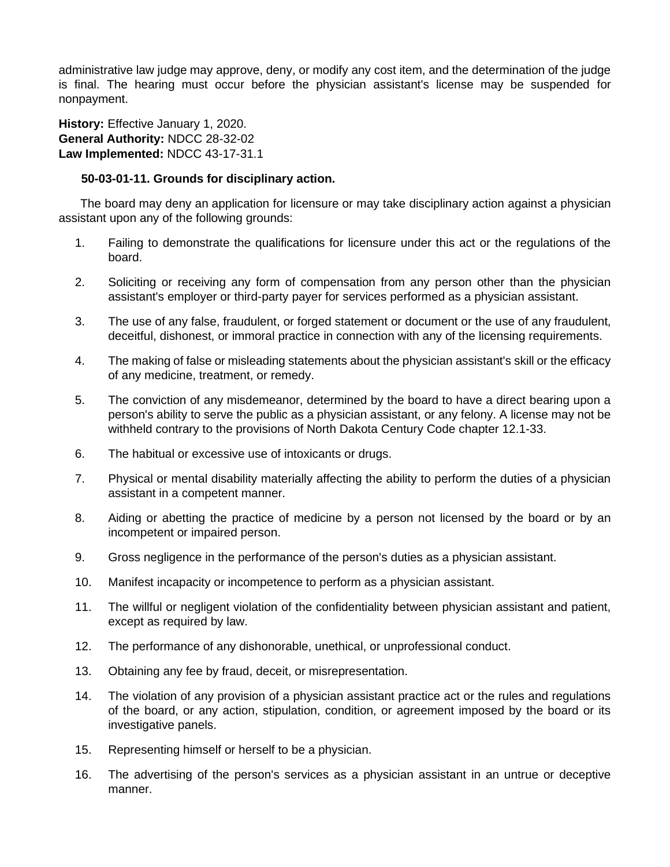administrative law judge may approve, deny, or modify any cost item, and the determination of the judge is final. The hearing must occur before the physician assistant's license may be suspended for nonpayment.

**History:** Effective January 1, 2020. **General Authority:** NDCC 28-32-02 **Law Implemented:** NDCC 43-17-31.1

### **50-03-01-11. Grounds for disciplinary action.**

The board may deny an application for licensure or may take disciplinary action against a physician assistant upon any of the following grounds:

- 1. Failing to demonstrate the qualifications for licensure under this act or the regulations of the board.
- 2. Soliciting or receiving any form of compensation from any person other than the physician assistant's employer or third-party payer for services performed as a physician assistant.
- 3. The use of any false, fraudulent, or forged statement or document or the use of any fraudulent, deceitful, dishonest, or immoral practice in connection with any of the licensing requirements.
- 4. The making of false or misleading statements about the physician assistant's skill or the efficacy of any medicine, treatment, or remedy.
- 5. The conviction of any misdemeanor, determined by the board to have a direct bearing upon a person's ability to serve the public as a physician assistant, or any felony. A license may not be withheld contrary to the provisions of North Dakota Century Code chapter 12.1-33.
- 6. The habitual or excessive use of intoxicants or drugs.
- 7. Physical or mental disability materially affecting the ability to perform the duties of a physician assistant in a competent manner.
- 8. Aiding or abetting the practice of medicine by a person not licensed by the board or by an incompetent or impaired person.
- 9. Gross negligence in the performance of the person's duties as a physician assistant.
- 10. Manifest incapacity or incompetence to perform as a physician assistant.
- 11. The willful or negligent violation of the confidentiality between physician assistant and patient, except as required by law.
- 12. The performance of any dishonorable, unethical, or unprofessional conduct.
- 13. Obtaining any fee by fraud, deceit, or misrepresentation.
- 14. The violation of any provision of a physician assistant practice act or the rules and regulations of the board, or any action, stipulation, condition, or agreement imposed by the board or its investigative panels.
- 15. Representing himself or herself to be a physician.
- 16. The advertising of the person's services as a physician assistant in an untrue or deceptive manner.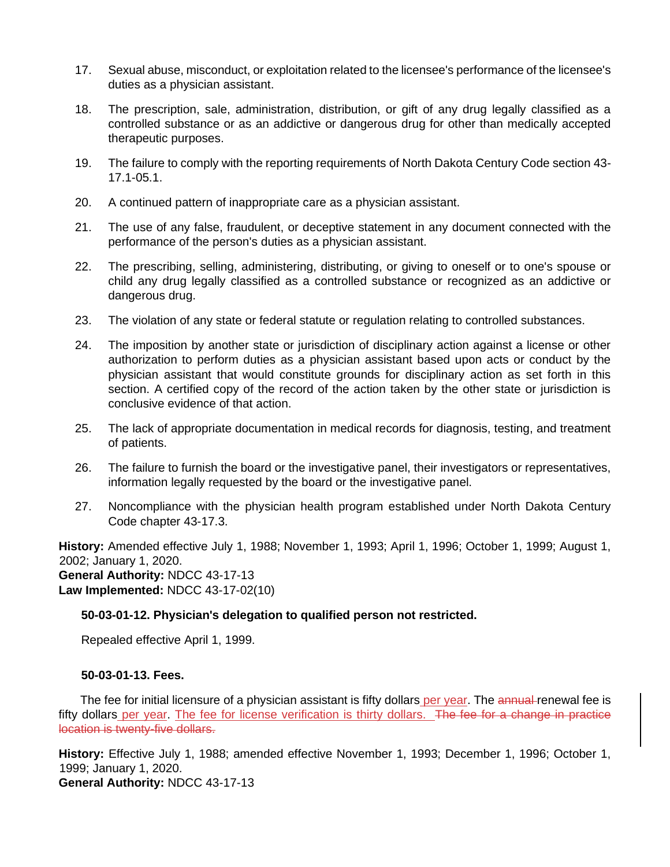- 17. Sexual abuse, misconduct, or exploitation related to the licensee's performance of the licensee's duties as a physician assistant.
- 18. The prescription, sale, administration, distribution, or gift of any drug legally classified as a controlled substance or as an addictive or dangerous drug for other than medically accepted therapeutic purposes.
- 19. The failure to comply with the reporting requirements of North Dakota Century Code section 43- 17.1-05.1.
- 20. A continued pattern of inappropriate care as a physician assistant.
- 21. The use of any false, fraudulent, or deceptive statement in any document connected with the performance of the person's duties as a physician assistant.
- 22. The prescribing, selling, administering, distributing, or giving to oneself or to one's spouse or child any drug legally classified as a controlled substance or recognized as an addictive or dangerous drug.
- 23. The violation of any state or federal statute or regulation relating to controlled substances.
- 24. The imposition by another state or jurisdiction of disciplinary action against a license or other authorization to perform duties as a physician assistant based upon acts or conduct by the physician assistant that would constitute grounds for disciplinary action as set forth in this section. A certified copy of the record of the action taken by the other state or jurisdiction is conclusive evidence of that action.
- 25. The lack of appropriate documentation in medical records for diagnosis, testing, and treatment of patients.
- 26. The failure to furnish the board or the investigative panel, their investigators or representatives, information legally requested by the board or the investigative panel.
- 27. Noncompliance with the physician health program established under North Dakota Century Code chapter 43-17.3.

**History:** Amended effective July 1, 1988; November 1, 1993; April 1, 1996; October 1, 1999; August 1, 2002; January 1, 2020. **General Authority:** NDCC 43-17-13 **Law Implemented:** NDCC 43-17-02(10)

## **50-03-01-12. Physician's delegation to qualified person not restricted.**

Repealed effective April 1, 1999.

## **50-03-01-13. Fees.**

The fee for initial licensure of a physician assistant is fifty dollars per year. The annual renewal fee is fifty dollars per year. The fee for license verification is thirty dollars. The fee for a change in practice location is twenty-five dollars.

**History:** Effective July 1, 1988; amended effective November 1, 1993; December 1, 1996; October 1, 1999; January 1, 2020.

**General Authority:** NDCC 43-17-13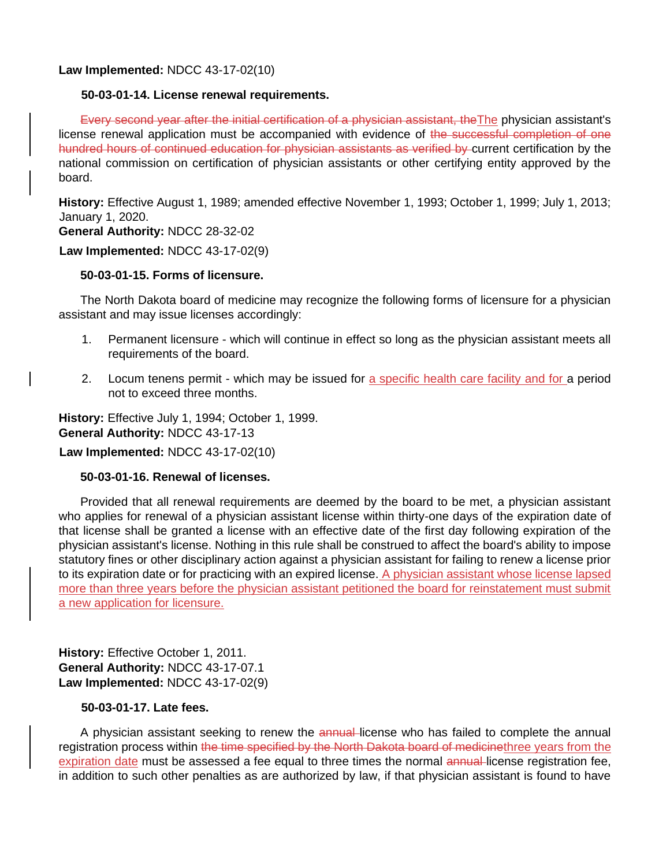**Law Implemented:** NDCC 43-17-02(10)

### **50-03-01-14. License renewal requirements.**

Every second year after the initial certification of a physician assistant, the The physician assistant's license renewal application must be accompanied with evidence of the successful completion of one hundred hours of continued education for physician assistants as verified by current certification by the national commission on certification of physician assistants or other certifying entity approved by the board.

**History:** Effective August 1, 1989; amended effective November 1, 1993; October 1, 1999; July 1, 2013; January 1, 2020.

**General Authority:** NDCC 28-32-02

**Law Implemented:** NDCC 43-17-02(9)

## **50-03-01-15. Forms of licensure.**

The North Dakota board of medicine may recognize the following forms of licensure for a physician assistant and may issue licenses accordingly:

- 1. Permanent licensure which will continue in effect so long as the physician assistant meets all requirements of the board.
- 2. Locum tenens permit which may be issued for a specific health care facility and for a period not to exceed three months.

**History:** Effective July 1, 1994; October 1, 1999. **General Authority:** NDCC 43-17-13

**Law Implemented:** NDCC 43-17-02(10)

## **50-03-01-16. Renewal of licenses.**

Provided that all renewal requirements are deemed by the board to be met, a physician assistant who applies for renewal of a physician assistant license within thirty-one days of the expiration date of that license shall be granted a license with an effective date of the first day following expiration of the physician assistant's license. Nothing in this rule shall be construed to affect the board's ability to impose statutory fines or other disciplinary action against a physician assistant for failing to renew a license prior to its expiration date or for practicing with an expired license. A physician assistant whose license lapsed more than three years before the physician assistant petitioned the board for reinstatement must submit a new application for licensure.

**History:** Effective October 1, 2011. **General Authority:** NDCC 43-17-07.1 **Law Implemented:** NDCC 43-17-02(9)

## **50-03-01-17. Late fees.**

A physician assistant seeking to renew the annual license who has failed to complete the annual registration process within the time specified by the North Dakota board of medicinethree years from the expiration date must be assessed a fee equal to three times the normal annual-license registration fee, in addition to such other penalties as are authorized by law, if that physician assistant is found to have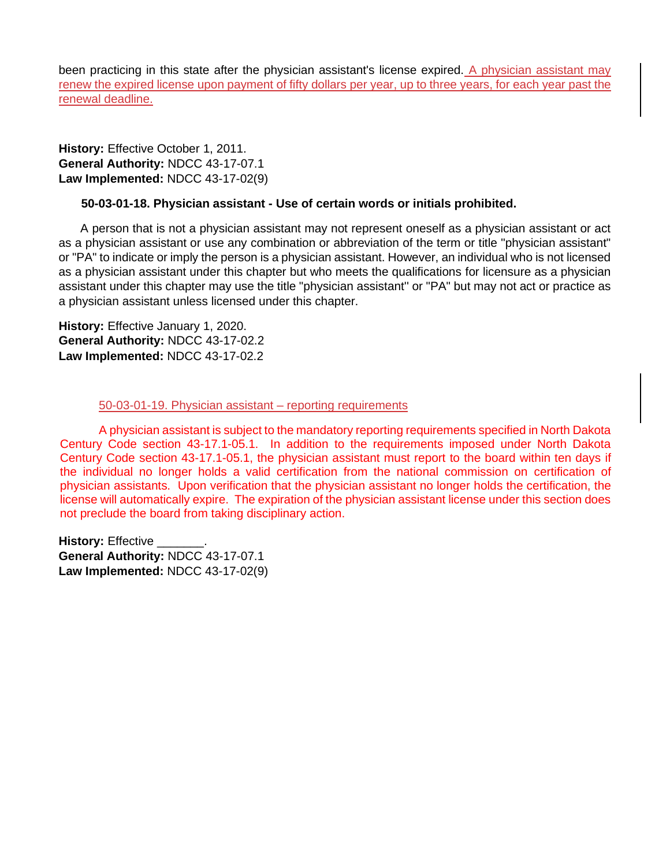been practicing in this state after the physician assistant's license expired. A physician assistant may renew the expired license upon payment of fifty dollars per year, up to three years, for each year past the renewal deadline.

**History:** Effective October 1, 2011. **General Authority:** NDCC 43-17-07.1 **Law Implemented:** NDCC 43-17-02(9)

## **50-03-01-18. Physician assistant - Use of certain words or initials prohibited.**

A person that is not a physician assistant may not represent oneself as a physician assistant or act as a physician assistant or use any combination or abbreviation of the term or title "physician assistant" or "PA" to indicate or imply the person is a physician assistant. However, an individual who is not licensed as a physician assistant under this chapter but who meets the qualifications for licensure as a physician assistant under this chapter may use the title "physician assistant'' or "PA" but may not act or practice as a physician assistant unless licensed under this chapter.

**History:** Effective January 1, 2020. **General Authority:** NDCC 43-17-02.2 **Law Implemented:** NDCC 43-17-02.2

#### 50-03-01-19. Physician assistant – reporting requirements

A physician assistant is subject to the mandatory reporting requirements specified in North Dakota Century Code section 43-17.1-05.1. In addition to the requirements imposed under North Dakota Century Code section 43-17.1-05.1, the physician assistant must report to the board within ten days if the individual no longer holds a valid certification from the national commission on certification of physician assistants. Upon verification that the physician assistant no longer holds the certification, the license will automatically expire. The expiration of the physician assistant license under this section does not preclude the board from taking disciplinary action.

**History: Effective \_\_\_ General Authority:** NDCC 43-17-07.1 **Law Implemented:** NDCC 43-17-02(9)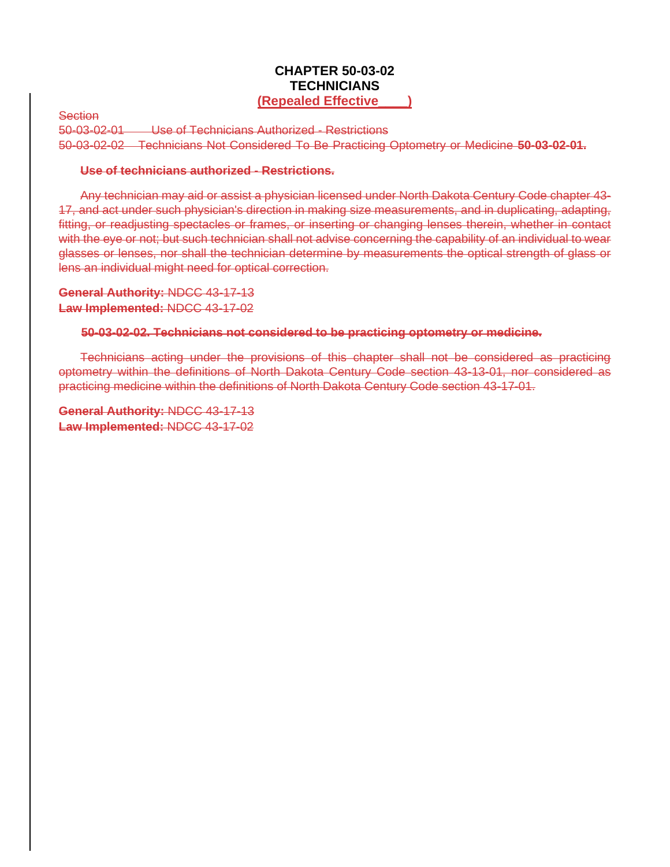## **CHAPTER 50-03-02 TECHNICIANS (Repealed Effective\_\_\_\_)**

**Section** 

50-03-02-01 Use of Technicians Authorized - Restrictions 50-03-02-02 Technicians Not Considered To Be Practicing Optometry or Medicine **50-03-02-01.** 

#### **Use of technicians authorized - Restrictions.**

Any technician may aid or assist a physician licensed under North Dakota Century Code chapter 43- 17, and act under such physician's direction in making size measurements, and in duplicating, adapting, fitting, or readjusting spectacles or frames, or inserting or changing lenses therein, whether in contact with the eye or not; but such technician shall not advise concerning the capability of an individual to wear glasses or lenses, nor shall the technician determine by measurements the optical strength of glass or lens an individual might need for optical correction.

**General Authority:** NDCC 43-17-13 **Law Implemented:** NDCC 43-17-02

### **50-03-02-02. Technicians not considered to be practicing optometry or medicine.**

Technicians acting under the provisions of this chapter shall not be considered as practicing optometry within the definitions of North Dakota Century Code section 43-13-01, nor considered as practicing medicine within the definitions of North Dakota Century Code section 43-17-01.

**General Authority:** NDCC 43-17-13 **Law Implemented:** NDCC 43-17-02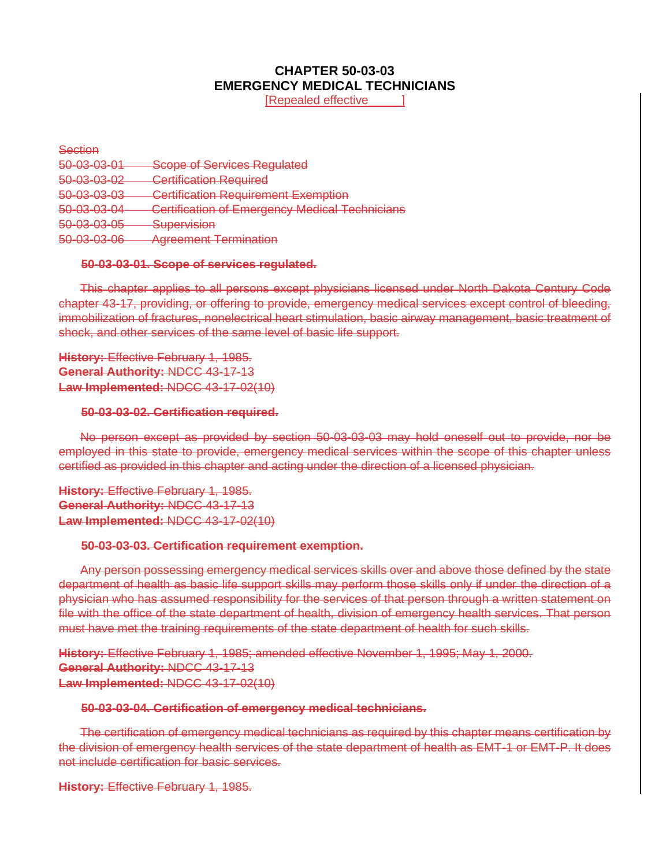# **CHAPTER 50-03-03 EMERGENCY MEDICAL TECHNICIANS**

**IRepealed effective** 

**Section** 50-03-03-01 Scope of Services Regulated 50-03-03-02 Certification Required 50-03-03-03 Certification Requirement Exemption 50-03-03-04 Certification of Emergency Medical Technicians 50-03-03-05 Supervision 50-03-03-06 Agreement Termination

#### **50-03-03-01. Scope of services regulated.**

This chapter applies to all persons except physicians licensed under North Dakota Century Code chapter 43-17, providing, or offering to provide, emergency medical services except control of bleeding, immobilization of fractures, nonelectrical heart stimulation, basic airway management, basic treatment of shock, and other services of the same level of basic life support.

**History:** Effective February 1, 1985. **General Authority:** NDCC 43-17-13 **Law Implemented:** NDCC 43-17-02(10)

#### **50-03-03-02. Certification required.**

No person except as provided by section 50-03-03-03 may hold oneself out to provide, nor be employed in this state to provide, emergency medical services within the scope of this chapter unless certified as provided in this chapter and acting under the direction of a licensed physician.

**History:** Effective February 1, 1985. **General Authority:** NDCC 43-17-13 **Law Implemented:** NDCC 43-17-02(10)

#### **50-03-03-03. Certification requirement exemption.**

Any person possessing emergency medical services skills over and above those defined by the state department of health as basic life support skills may perform those skills only if under the direction of a physician who has assumed responsibility for the services of that person through a written statement on file with the office of the state department of health, division of emergency health services. That person must have met the training requirements of the state department of health for such skills.

**History:** Effective February 1, 1985; amended effective November 1, 1995; May 1, 2000. **General Authority:** NDCC 43-17-13 **Law Implemented:** NDCC 43-17-02(10)

#### **50-03-03-04. Certification of emergency medical technicians.**

The certification of emergency medical technicians as required by this chapter means certification by the division of emergency health services of the state department of health as EMT-1 or EMT-P. It does not include certification for basic services.

**History:** Effective February 1, 1985.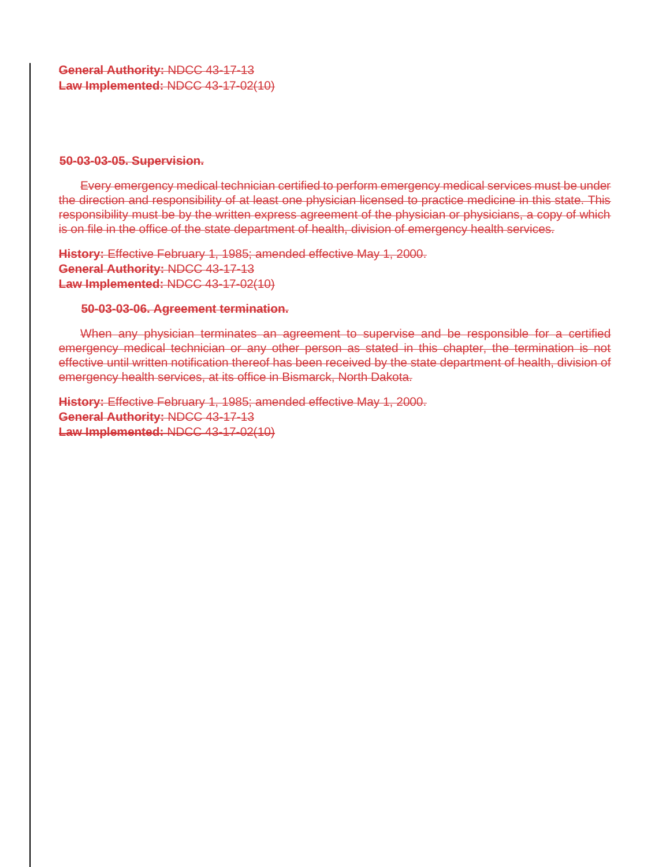**General Authority:** NDCC 43-17-13 **Law Implemented:** NDCC 43-17-02(10)

#### **50-03-03-05. Supervision.**

Every emergency medical technician certified to perform emergency medical services must be under the direction and responsibility of at least one physician licensed to practice medicine in this state. This responsibility must be by the written express agreement of the physician or physicians, a copy of which is on file in the office of the state department of health, division of emergency health services.

**History:** Effective February 1, 1985; amended effective May 1, 2000. **General Authority:** NDCC 43-17-13 **Law Implemented:** NDCC 43-17-02(10)

#### **50-03-03-06. Agreement termination.**

When any physician terminates an agreement to supervise and be responsible for a certified emergency medical technician or any other person as stated in this chapter, the termination is not effective until written notification thereof has been received by the state department of health, division of emergency health services, at its office in Bismarck, North Dakota.

**History:** Effective February 1, 1985; amended effective May 1, 2000. **General Authority:** NDCC 43-17-13 **Law Implemented:** NDCC 43-17-02(10)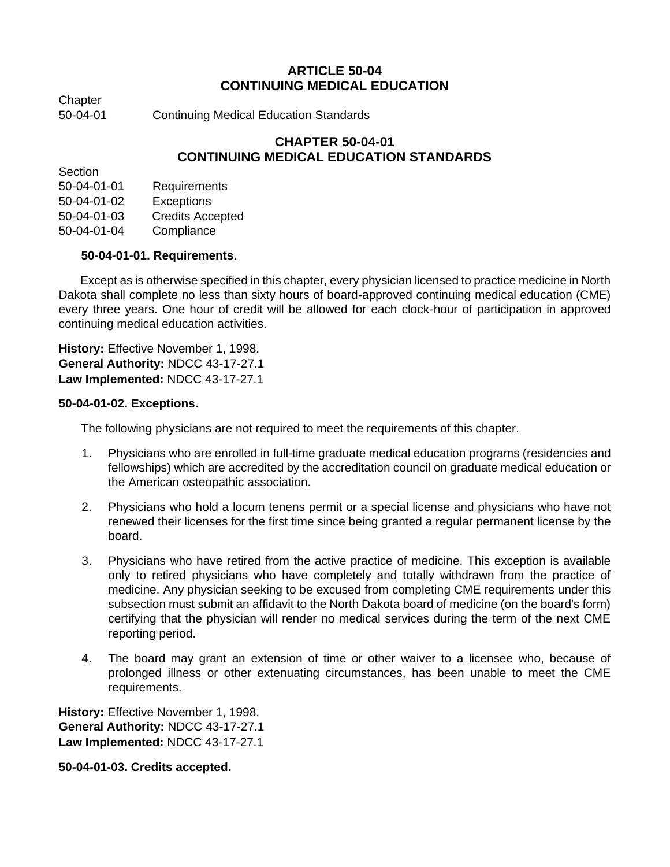# **ARTICLE 50-04 CONTINUING MEDICAL EDUCATION**

**Chapter** 

50-04-01 Continuing Medical Education Standards

# **CHAPTER 50-04-01 CONTINUING MEDICAL EDUCATION STANDARDS**

**Section** 

50-04-01-01 Requirements 50-04-01-02 Exceptions

50-04-01-03 Credits Accepted

50-04-01-04 Compliance

# **50-04-01-01. Requirements.**

Except as is otherwise specified in this chapter, every physician licensed to practice medicine in North Dakota shall complete no less than sixty hours of board-approved continuing medical education (CME) every three years. One hour of credit will be allowed for each clock-hour of participation in approved continuing medical education activities.

**History:** Effective November 1, 1998. **General Authority:** NDCC 43-17-27.1 **Law Implemented:** NDCC 43-17-27.1

## **50-04-01-02. Exceptions.**

The following physicians are not required to meet the requirements of this chapter.

- 1. Physicians who are enrolled in full-time graduate medical education programs (residencies and fellowships) which are accredited by the accreditation council on graduate medical education or the American osteopathic association.
- 2. Physicians who hold a locum tenens permit or a special license and physicians who have not renewed their licenses for the first time since being granted a regular permanent license by the board.
- 3. Physicians who have retired from the active practice of medicine. This exception is available only to retired physicians who have completely and totally withdrawn from the practice of medicine. Any physician seeking to be excused from completing CME requirements under this subsection must submit an affidavit to the North Dakota board of medicine (on the board's form) certifying that the physician will render no medical services during the term of the next CME reporting period.
- 4. The board may grant an extension of time or other waiver to a licensee who, because of prolonged illness or other extenuating circumstances, has been unable to meet the CME requirements.

**History:** Effective November 1, 1998. **General Authority:** NDCC 43-17-27.1 **Law Implemented:** NDCC 43-17-27.1

**50-04-01-03. Credits accepted.**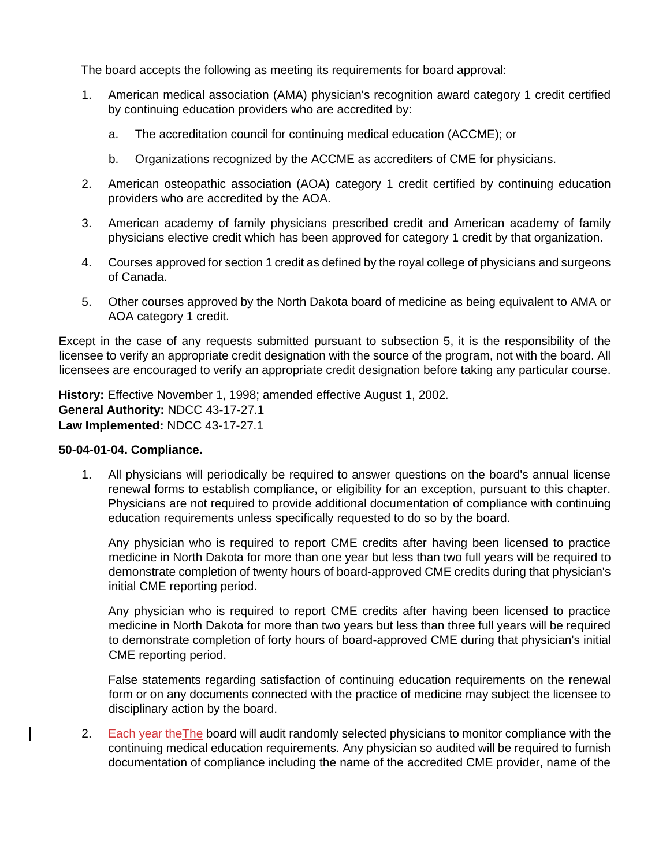The board accepts the following as meeting its requirements for board approval:

- 1. American medical association (AMA) physician's recognition award category 1 credit certified by continuing education providers who are accredited by:
	- a. The accreditation council for continuing medical education (ACCME); or
	- b. Organizations recognized by the ACCME as accrediters of CME for physicians.
- 2. American osteopathic association (AOA) category 1 credit certified by continuing education providers who are accredited by the AOA.
- 3. American academy of family physicians prescribed credit and American academy of family physicians elective credit which has been approved for category 1 credit by that organization.
- 4. Courses approved for section 1 credit as defined by the royal college of physicians and surgeons of Canada.
- 5. Other courses approved by the North Dakota board of medicine as being equivalent to AMA or AOA category 1 credit.

Except in the case of any requests submitted pursuant to subsection 5, it is the responsibility of the licensee to verify an appropriate credit designation with the source of the program, not with the board. All licensees are encouraged to verify an appropriate credit designation before taking any particular course.

**History:** Effective November 1, 1998; amended effective August 1, 2002. **General Authority:** NDCC 43-17-27.1 **Law Implemented:** NDCC 43-17-27.1

#### **50-04-01-04. Compliance.**

1. All physicians will periodically be required to answer questions on the board's annual license renewal forms to establish compliance, or eligibility for an exception, pursuant to this chapter. Physicians are not required to provide additional documentation of compliance with continuing education requirements unless specifically requested to do so by the board.

Any physician who is required to report CME credits after having been licensed to practice medicine in North Dakota for more than one year but less than two full years will be required to demonstrate completion of twenty hours of board-approved CME credits during that physician's initial CME reporting period.

Any physician who is required to report CME credits after having been licensed to practice medicine in North Dakota for more than two years but less than three full years will be required to demonstrate completion of forty hours of board-approved CME during that physician's initial CME reporting period.

False statements regarding satisfaction of continuing education requirements on the renewal form or on any documents connected with the practice of medicine may subject the licensee to disciplinary action by the board.

2. Each year the The board will audit randomly selected physicians to monitor compliance with the continuing medical education requirements. Any physician so audited will be required to furnish documentation of compliance including the name of the accredited CME provider, name of the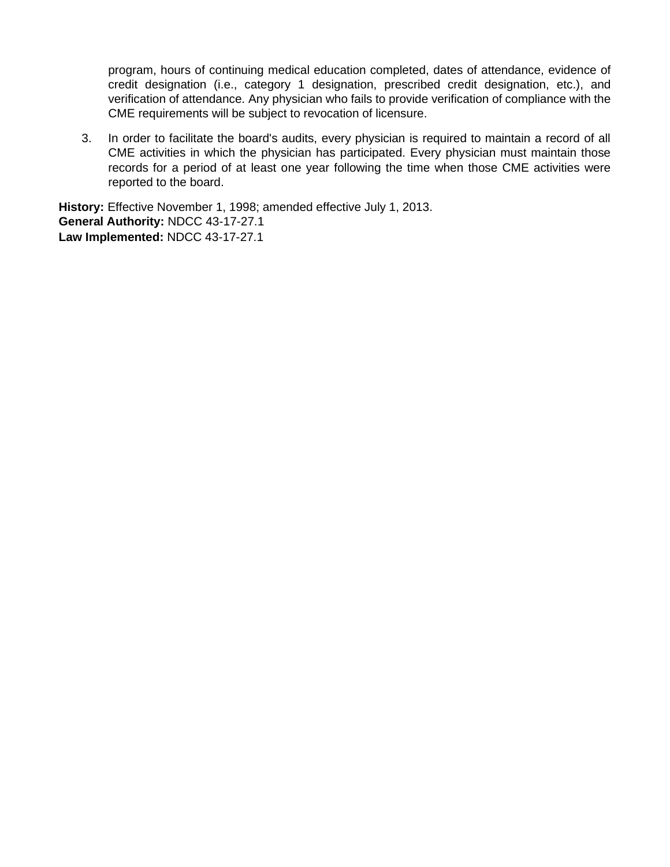program, hours of continuing medical education completed, dates of attendance, evidence of credit designation (i.e., category 1 designation, prescribed credit designation, etc.), and verification of attendance. Any physician who fails to provide verification of compliance with the CME requirements will be subject to revocation of licensure.

3. In order to facilitate the board's audits, every physician is required to maintain a record of all CME activities in which the physician has participated. Every physician must maintain those records for a period of at least one year following the time when those CME activities were reported to the board.

**History:** Effective November 1, 1998; amended effective July 1, 2013. **General Authority:** NDCC 43-17-27.1 **Law Implemented:** NDCC 43-17-27.1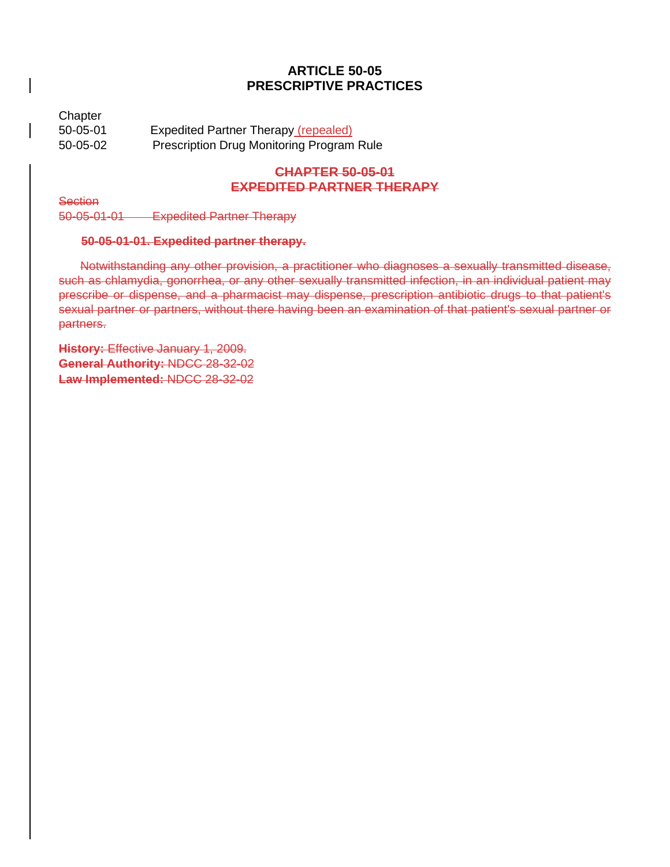## **ARTICLE 50-05 PRESCRIPTIVE PRACTICES**

**Chapter** 50-05-01 Expedited Partner Therapy (repealed) 50-05-02 Prescription Drug Monitoring Program Rule

# **CHAPTER 50-05-01 EXPEDITED PARTNER THERAPY**

**Section** 

50-05-01-01 Expedited Partner Therapy

## **50-05-01-01. Expedited partner therapy.**

Notwithstanding any other provision, a practitioner who diagnoses a sexually transmitted disease, such as chlamydia, gonorrhea, or any other sexually transmitted infection, in an individual patient may prescribe or dispense, and a pharmacist may dispense, prescription antibiotic drugs to that patient's sexual partner or partners, without there having been an examination of that patient's sexual partner or partners.

**History:** Effective January 1, 2009. **General Authority:** NDCC 28-32-02 **Law Implemented:** NDCC 28-32-02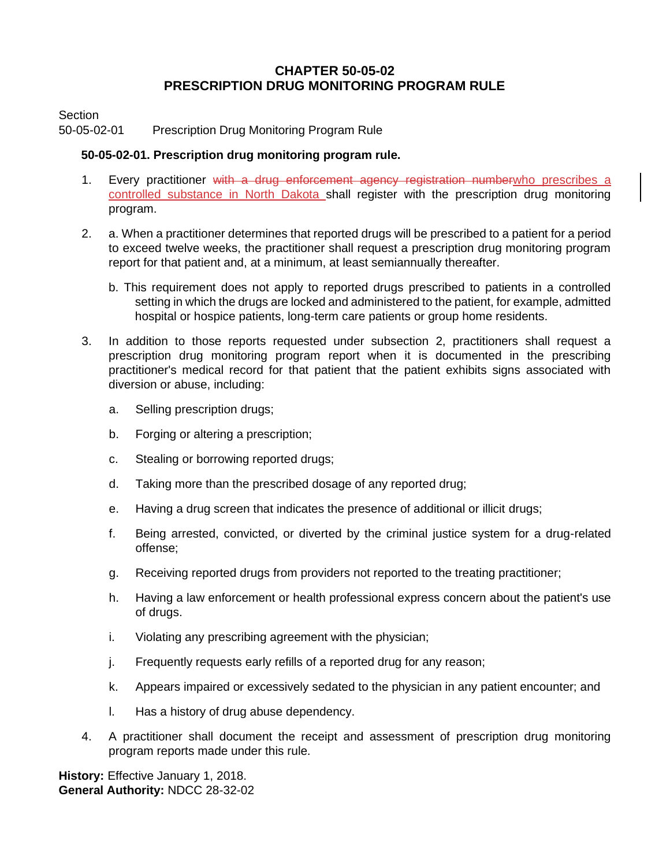## **CHAPTER 50-05-02 PRESCRIPTION DRUG MONITORING PROGRAM RULE**

Section

50-05-02-01 Prescription Drug Monitoring Program Rule

## **50-05-02-01. Prescription drug monitoring program rule.**

- 1. Every practitioner with a drug enforcement agency registration numberwho prescribes a controlled substance in North Dakota shall register with the prescription drug monitoring program.
- 2. a. When a practitioner determines that reported drugs will be prescribed to a patient for a period to exceed twelve weeks, the practitioner shall request a prescription drug monitoring program report for that patient and, at a minimum, at least semiannually thereafter.
	- b. This requirement does not apply to reported drugs prescribed to patients in a controlled setting in which the drugs are locked and administered to the patient, for example, admitted hospital or hospice patients, long-term care patients or group home residents.
- 3. In addition to those reports requested under subsection 2, practitioners shall request a prescription drug monitoring program report when it is documented in the prescribing practitioner's medical record for that patient that the patient exhibits signs associated with diversion or abuse, including:
	- a. Selling prescription drugs;
	- b. Forging or altering a prescription;
	- c. Stealing or borrowing reported drugs;
	- d. Taking more than the prescribed dosage of any reported drug;
	- e. Having a drug screen that indicates the presence of additional or illicit drugs;
	- f. Being arrested, convicted, or diverted by the criminal justice system for a drug-related offense;
	- g. Receiving reported drugs from providers not reported to the treating practitioner;
	- h. Having a law enforcement or health professional express concern about the patient's use of drugs.
	- i. Violating any prescribing agreement with the physician;
	- j. Frequently requests early refills of a reported drug for any reason;
	- k. Appears impaired or excessively sedated to the physician in any patient encounter; and
	- l. Has a history of drug abuse dependency.
- 4. A practitioner shall document the receipt and assessment of prescription drug monitoring program reports made under this rule.

**History:** Effective January 1, 2018. **General Authority:** NDCC 28-32-02